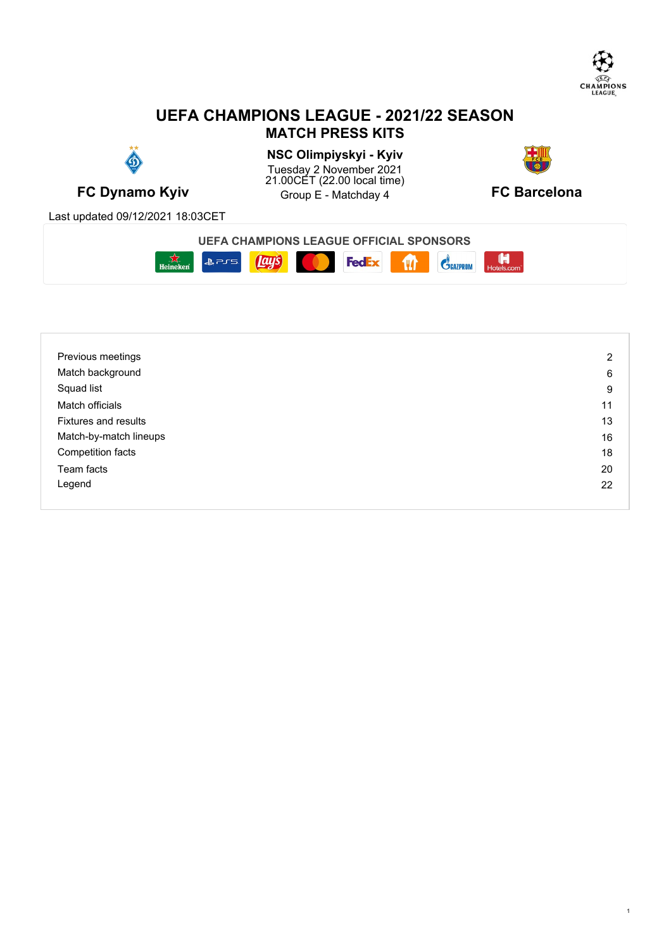

1

# **UEFA CHAMPIONS LEAGUE - 2021/22 SEASON MATCH PRESS KITS**



**FC Dynamo Kyiv EXAMPLE A CONSUMING CONSUMINGLE A** Group E - Matchday 4 **FC Barcelona NSC Olimpiyskyi - Kyiv** Tuesday 2 November 2021 21.00CET (22.00 local time) Group E - Matchday 4



Last updated 09/12/2021 18:03CET



| Previous meetings           | 2  |
|-----------------------------|----|
| Match background            | 6  |
| Squad list                  | 9  |
| Match officials             | 11 |
| <b>Fixtures and results</b> | 13 |
| Match-by-match lineups      | 16 |
| Competition facts           | 18 |
| Team facts                  | 20 |
| Legend                      | 22 |
|                             |    |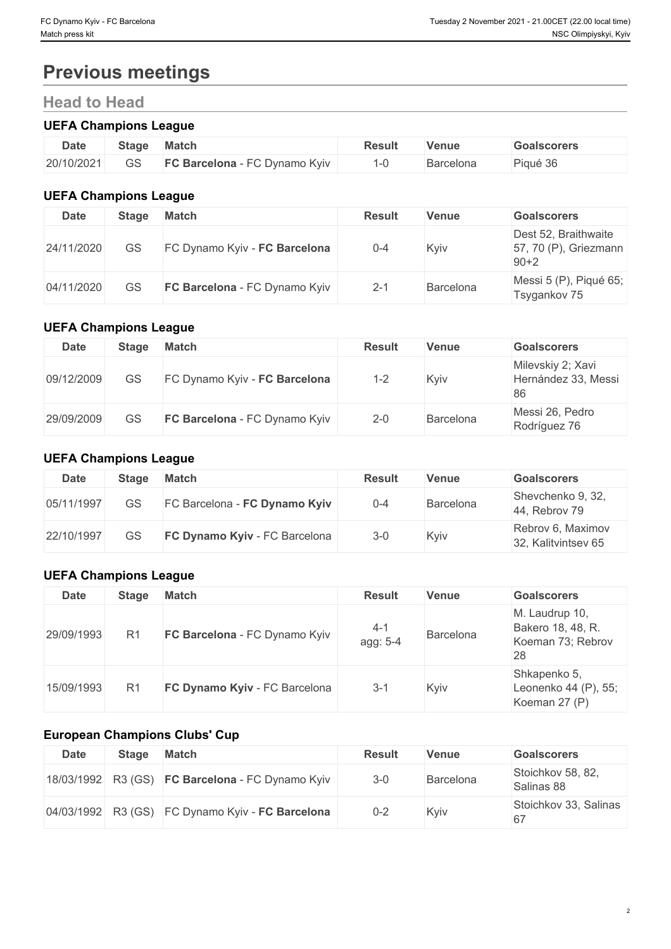# **Previous meetings**

# **Head to Head**

# **UEFA Champions League**

| <b>Date</b> | Stage | <b>Match</b>                          | Result | Venue     | <b>Goalscorers</b>                     |
|-------------|-------|---------------------------------------|--------|-----------|----------------------------------------|
| 20/10/2021  | GS    | <b>FC Barcelona</b><br>FC Dynamo Kyiv |        | Barcelona | $\sim$ $\sim$<br><sup>ාo</sup> iqué పం |

# **UEFA Champions League**

| <b>Date</b> | <b>Stage</b> | <b>Match</b>                  | <b>Result</b> | <b>Venue</b> | <b>Goalscorers</b>                                        |
|-------------|--------------|-------------------------------|---------------|--------------|-----------------------------------------------------------|
| 24/11/2020  | GS           | FC Dynamo Kyiv - FC Barcelona | $0 - 4$       | Kyiv         | Dest 52, Braithwaite<br>57, 70 (P), Griezmann<br>$90 + 2$ |
| 04/11/2020  | GS           | FC Barcelona - FC Dynamo Kyiv | $2 - 1$       | Barcelona    | Messi 5 (P), Piqué 65;<br>Tsygankov 75                    |

## **UEFA Champions League**

| <b>Date</b> | Stage     | Match                                | <b>Result</b> | <b>Venue</b> | <b>Goalscorers</b>                             |
|-------------|-----------|--------------------------------------|---------------|--------------|------------------------------------------------|
| 09/12/2009  | <b>GS</b> | FC Dynamo Kyiv - FC Barcelona        | 1-2           | Kyiv         | Milevskiy 2; Xavi<br>Hernández 33, Messi<br>86 |
| 29/09/2009  | GS        | <b>FC Barcelona</b> - FC Dynamo Kyiv | $2 - 0$       | Barcelona    | Messi 26, Pedro<br>Rodríguez 76                |

## **UEFA Champions League**

| Date       | <b>Stage</b> | <b>Match</b>                  | <b>Result</b> | Venue     | <b>Goalscorers</b>                       |
|------------|--------------|-------------------------------|---------------|-----------|------------------------------------------|
| 05/11/1997 | GS           | FC Barcelona - FC Dynamo Kyiv | $0 - 4$       | Barcelona | Shevchenko 9, 32,<br>44, Rebrov 79       |
| 22/10/1997 | GS           | FC Dynamo Kyiv - FC Barcelona | $3 - 0$       | Kyiv      | Rebrov 6, Maximov<br>32, Kalitvintsev 65 |

# **UEFA Champions League**

| <b>Date</b> | <b>Stage</b>   | <b>Match</b>                  | <b>Result</b>       | <b>Venue</b> | <b>Goalscorers</b>                                             |
|-------------|----------------|-------------------------------|---------------------|--------------|----------------------------------------------------------------|
| 29/09/1993  | R <sub>1</sub> | FC Barcelona - FC Dynamo Kyiv | $4 - 1$<br>agg: 5-4 | Barcelona    | M. Laudrup 10,<br>Bakero 18, 48, R.<br>Koeman 73; Rebrov<br>28 |
| 15/09/1993  | R <sub>1</sub> | FC Dynamo Kyiv - FC Barcelona | $3 - 1$             | Kyiv         | Shkapenko 5,<br>Leonenko 44 (P), 55;<br>Koeman 27 (P)          |

# **European Champions Clubs' Cup**

| Date | <b>Stage</b> | Match                                            | <b>Result</b> | <b>Venue</b> | <b>Goalscorers</b>              |
|------|--------------|--------------------------------------------------|---------------|--------------|---------------------------------|
|      |              | 18/03/1992 R3 (GS) FC Barcelona - FC Dynamo Kyiv | $3 - 0$       | Barcelona    | Stoichkov 58, 82,<br>Salinas 88 |
|      |              | 04/03/1992 R3 (GS) FC Dynamo Kyiv - FC Barcelona | $0 - 2$       | Kyiv         | Stoichkov 33, Salinas<br>67     |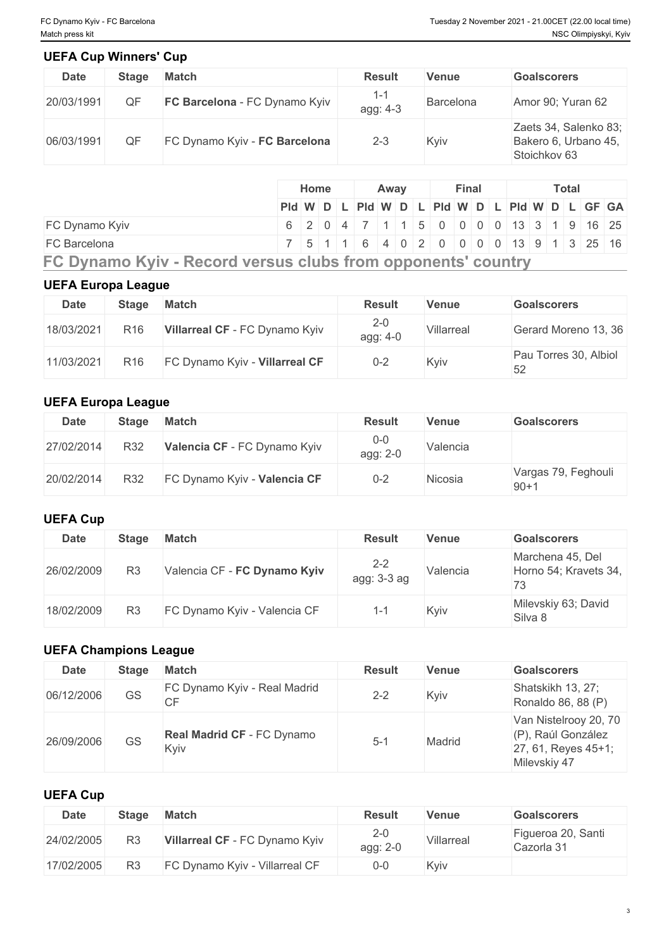# **UEFA Cup Winners' Cup**

| <b>Date</b> | <b>Stage</b> | <b>Match</b>                  | <b>Result</b>       | <b>Venue</b>     | <b>Goalscorers</b>                                            |
|-------------|--------------|-------------------------------|---------------------|------------------|---------------------------------------------------------------|
| 20/03/1991  | QF           | FC Barcelona - FC Dynamo Kyiv | $1 - 1$<br>agg: 4-3 | <b>Barcelona</b> | Amor 90; Yuran 62                                             |
| 06/03/1991  | QF           | FC Dynamo Kyiv - FC Barcelona | $2 - 3$             | Kyiv             | Zaets 34, Salenko 83;<br>Bakero 6, Urbano 45,<br>Stoichkov 63 |

### **UEFA Europa League**

| <b>Date</b> | Stage           | <b>Match</b>                   | <b>Result</b>       | Venue      | <b>Goalscorers</b>          |
|-------------|-----------------|--------------------------------|---------------------|------------|-----------------------------|
| 18/03/2021  | R <sub>16</sub> | Villarreal CF - FC Dynamo Kyiv | $2 - 0$<br>agg: 4-0 | Villarreal | Gerard Moreno 13, 36        |
| 11/03/2021  | R <sub>16</sub> | FC Dynamo Kyiv - Villarreal CF | $0 - 2$             | Kyiv       | Pau Torres 30, Albiol<br>52 |

### **UEFA Europa League**

| <b>Date</b> | <b>Stage</b> | Match                        | <b>Result</b>       | <b>Venue</b> | <b>Goalscorers</b>            |
|-------------|--------------|------------------------------|---------------------|--------------|-------------------------------|
| 27/02/2014  | R32          | Valencia CF - FC Dynamo Kyiv | $0 - 0$<br>agg: 2-0 | Valencia     |                               |
| 20/02/2014  | R32          | FC Dynamo Kyiv - Valencia CF | $0 - 2$             | Nicosia      | Vargas 79, Feghouli<br>$90+1$ |

# **UEFA Cup**

| <b>Date</b> | <b>Stage</b>   | <b>Match</b>                 | <b>Result</b>          | Venue    | <b>Goalscorers</b>                        |
|-------------|----------------|------------------------------|------------------------|----------|-------------------------------------------|
| 26/02/2009  | R <sub>3</sub> | Valencia CF - FC Dynamo Kyiv | $2 - 2$<br>agg: 3-3 ag | Valencia | Marchena 45, Del<br>Horno 54; Kravets 34, |
| 18/02/2009  | R <sub>3</sub> | FC Dynamo Kyiv - Valencia CF | -1-1                   | Kyiv     | Milevskiy 63; David<br>Silva 8            |

# **UEFA Champions League**

| <b>Date</b> | <b>Stage</b> | <b>Match</b>                              | <b>Result</b> | <b>Venue</b> | <b>Goalscorers</b>                                                                 |
|-------------|--------------|-------------------------------------------|---------------|--------------|------------------------------------------------------------------------------------|
| 06/12/2006  | <b>GS</b>    | FC Dynamo Kyiv - Real Madrid<br><b>CF</b> | $2 - 2$       | Kyiv         | Shatskikh 13, 27;<br>Ronaldo 86, 88 (P)                                            |
| 26/09/2006  | <b>GS</b>    | Real Madrid CF - FC Dynamo<br>Kyiv        | $5 - 1$       | Madrid       | Van Nistelrooy 20, 70<br>(P), Raúl González<br>27, 61, Reyes 45+1;<br>Milevskiy 47 |

# **UEFA Cup**

| <b>Date</b> | <b>Stage</b> | <b>Match</b>                   | <b>Result</b>       | Venue      | <b>Goalscorers</b>               |
|-------------|--------------|--------------------------------|---------------------|------------|----------------------------------|
| 24/02/2005  | R3           | Villarreal CF - FC Dynamo Kyiv | $2 - 0$<br>agg: 2-0 | Villarreal | Figueroa 20, Santi<br>Cazorla 31 |
| 17/02/2005  |              | FC Dynamo Kyiv - Villarreal CF | $0 - 0$             | Kyiv       |                                  |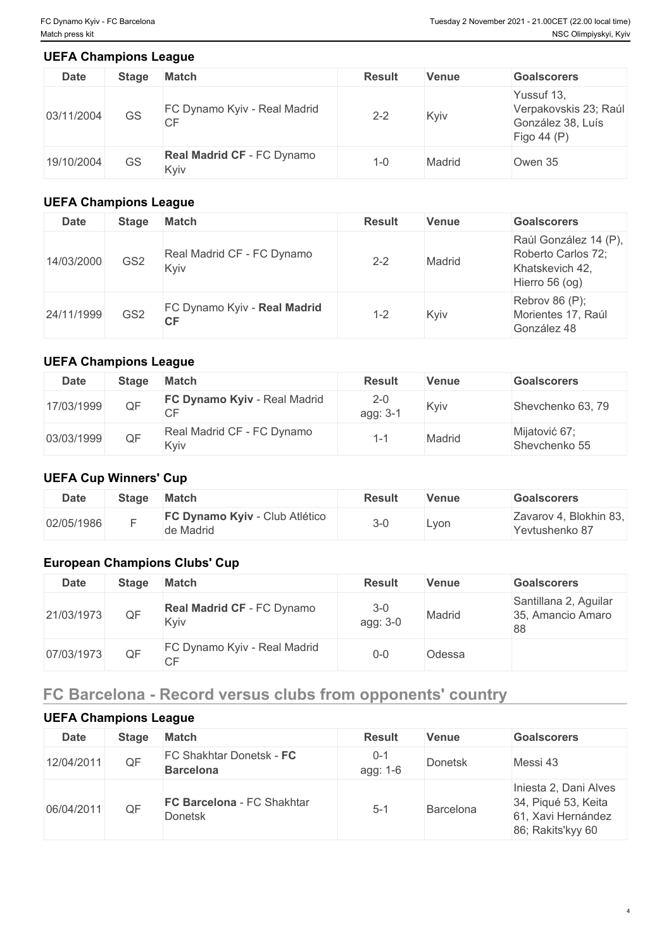#### **UEFA Champions League**

| <b>Date</b> | <b>Stage</b> | <b>Match</b>                              | <b>Result</b> | <b>Venue</b> | <b>Goalscorers</b>                                                      |
|-------------|--------------|-------------------------------------------|---------------|--------------|-------------------------------------------------------------------------|
| 03/11/2004  | GS           | FC Dynamo Kyiv - Real Madrid<br><b>CF</b> | $2 - 2$       | Kyiv         | Yussuf 13,<br>Verpakovskis 23; Raúl<br>González 38, Luís<br>Figo 44 (P) |
| 19/10/2004  | <b>GS</b>    | <b>Real Madrid CF - FC Dynamo</b><br>Kyiv | $1 - 0$       | Madrid       | Owen 35                                                                 |

# **UEFA Champions League**

| <b>Date</b> | <b>Stage</b>    | <b>Match</b>                              | <b>Result</b> | <b>Venue</b> | <b>Goalscorers</b>                                                                 |
|-------------|-----------------|-------------------------------------------|---------------|--------------|------------------------------------------------------------------------------------|
| 14/03/2000  | GS <sub>2</sub> | Real Madrid CF - FC Dynamo<br>Kyiv        | $2 - 2$       | Madrid       | Raúl González 14 (P),<br>Roberto Carlos 72;<br>Khatskevich 42,<br>Hierro $56$ (og) |
| 24/11/1999  | GS <sub>2</sub> | FC Dynamo Kyiv - Real Madrid<br><b>CF</b> | $1 - 2$       | Kyiv         | Rebrov 86 $(P)$ ;<br>Morientes 17, Raúl<br>González 48                             |

### **UEFA Champions League**

| Date       | <b>Stage</b> | <b>Match</b>                            | <b>Result</b>      | Venue  | <b>Goalscorers</b>             |
|------------|--------------|-----------------------------------------|--------------------|--------|--------------------------------|
| 17/03/1999 | QF           | FC Dynamo Kyiv - Real Madrid<br>∩⊏<br>◡ | $2 - 0$<br>agg: 3- | Kyiv   | Shevchenko 63, 79              |
| 03/03/1999 | QF           | Real Madrid CF - FC Dynamo<br>Kyiv      |                    | Madrid | Mijatović 67;<br>Shevchenko 55 |

### **UEFA Cup Winners' Cup**

| Date       | <b>Stage</b> | <b>Match</b>                                | <b>Result</b> | <b>Venue</b> | <b>Goalscorers</b>                       |
|------------|--------------|---------------------------------------------|---------------|--------------|------------------------------------------|
| 02/05/1986 |              | FC Dynamo Kyiv - Club Atlético<br>de Madrid | $3 - C$       | Lvon         | Zavarov 4, Blokhin 83,<br>Yevtushenko 87 |

# **European Champions Clubs' Cup**

| <b>Date</b> | <b>Stage</b> | <b>Match</b>                       | <b>Result</b>       | Venue  | <b>Goalscorers</b>                               |
|-------------|--------------|------------------------------------|---------------------|--------|--------------------------------------------------|
| 21/03/1973  | QF           | Real Madrid CF - FC Dynamo<br>Kyiv | $3 - 0$<br>agg: 3-0 | Madrid | Santillana 2, Aguilar<br>35, Amancio Amaro<br>88 |
| 07/03/1973  | QF           | FC Dynamo Kyiv - Real Madrid<br>СF | $0 - 0$             | Odessa |                                                  |

# **FC Barcelona - Record versus clubs from opponents' country**

### **UEFA Champions League**

| <b>Date</b> | <b>Stage</b> | <b>Match</b>                                 | <b>Result</b>       | Venue          | <b>Goalscorers</b>                                                                      |
|-------------|--------------|----------------------------------------------|---------------------|----------------|-----------------------------------------------------------------------------------------|
| 12/04/2011  | QF           | FC Shakhtar Donetsk - FC<br><b>Barcelona</b> | $0 - 1$<br>agg: 1-6 | <b>Donetsk</b> | Messi 43                                                                                |
| 06/04/2011  | QF           | FC Barcelona - FC Shakhtar<br><b>Donetsk</b> | $5 - 1$             | Barcelona      | Iniesta 2, Dani Alves<br>34, Piqué 53, Keita<br>61, Xavi Hernández<br>86; Rakits'kyy 60 |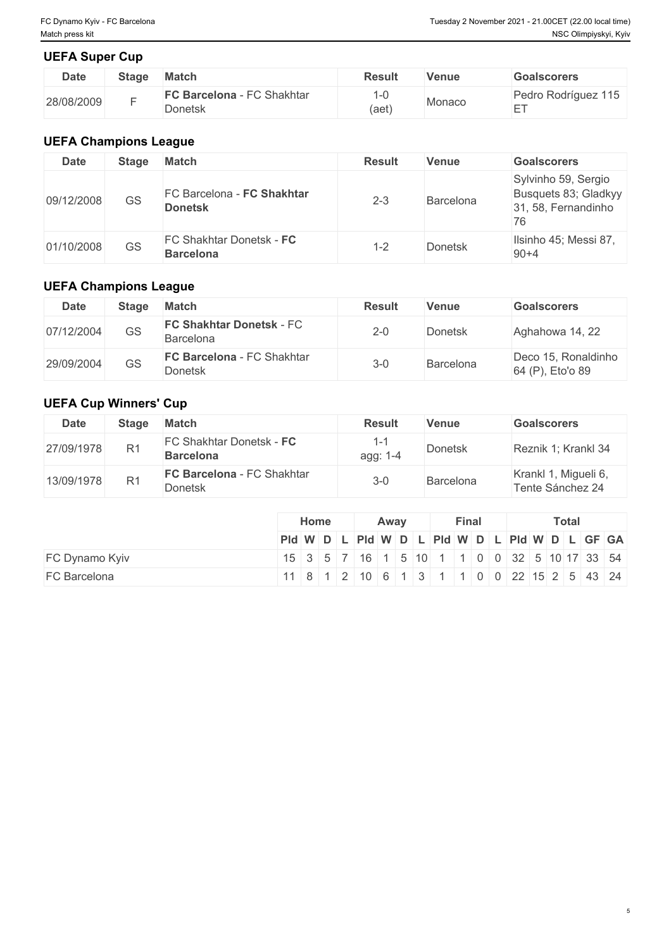5

### **UEFA Super Cup**

| <b>Date</b> | <b>Stage</b> | <b>Match</b>                          | <b>Result</b>                     | Venue  | <b>Goalscorers</b>                |
|-------------|--------------|---------------------------------------|-----------------------------------|--------|-----------------------------------|
| 28/08/2009  |              | FC Barcelona - FC Shakhtar<br>Donetsk | $\overline{\phantom{0}}$<br>(aet) | Monaco | Pedro Rodríguez 115<br>$- -$<br>_ |

## **UEFA Champions League**

| <b>Date</b> | <b>Stage</b> | <b>Match</b>                                 | <b>Result</b> | Venue     | <b>Goalscorers</b>                                                       |
|-------------|--------------|----------------------------------------------|---------------|-----------|--------------------------------------------------------------------------|
| 09/12/2008  | GS           | FC Barcelona - FC Shakhtar<br><b>Donetsk</b> | $2 - 3$       | Barcelona | Sylvinho 59, Sergio<br>Busquets 83; Gladkyy<br>31, 58, Fernandinho<br>76 |
| 01/10/2008  | GS           | FC Shakhtar Donetsk - FC<br><b>Barcelona</b> | $1 - 2$       | Donetsk   | Ilsinho 45; Messi 87,<br>$90 + 4$                                        |

# **UEFA Champions League**

| <b>Date</b> | Stage | <b>Match</b>                                        | <b>Result</b> | Venue            | <b>Goalscorers</b>                      |
|-------------|-------|-----------------------------------------------------|---------------|------------------|-----------------------------------------|
| 07/12/2004  | GS    | <b>FC Shakhtar Donetsk - FC</b><br>Barcelona        | $2 - 0$       | Donetsk          | Aghahowa 14, 22                         |
| 29/09/2004  | GS    | <b>FC Barcelona - FC Shakhtar</b><br><b>Donetsk</b> | $3 - 0$       | <b>Barcelona</b> | Deco 15, Ronaldinho<br>64 (P), Eto'o 89 |

# **UEFA Cup Winners' Cup**

| <b>Date</b> | <b>Stage</b>   | <b>Match</b>                                        | <b>Result</b> | Venue     | <b>Goalscorers</b>                       |
|-------------|----------------|-----------------------------------------------------|---------------|-----------|------------------------------------------|
| 27/09/1978  | R <sub>1</sub> | FC Shakhtar Donetsk - FC<br><b>Barcelona</b>        | agg: 1-4      | Donetsk   | Reznik 1; Krankl 34                      |
| 13/09/1978  | R <sub>1</sub> | <b>FC Barcelona - FC Shakhtar</b><br><b>Donetsk</b> | $3 - 0$       | Barcelona | Krankl 1, Migueli 6,<br>Tente Sánchez 24 |

|                     | Home                                                                                                   | Away |  |  |  | <b>Final</b> |  |  |  | Total |  |  |  |  |  |
|---------------------|--------------------------------------------------------------------------------------------------------|------|--|--|--|--------------|--|--|--|-------|--|--|--|--|--|
|                     | $PId \mid W \mid D \mid L \mid PId \mid W \mid D \mid L \mid PId \mid W \mid D \mid L \mid GF \mid GA$ |      |  |  |  |              |  |  |  |       |  |  |  |  |  |
| FC Dynamo Kyiv      | 15   3   5   7   16   1   5  10   1   1   0   0   32   5  10   17   33   54                            |      |  |  |  |              |  |  |  |       |  |  |  |  |  |
| <b>FC Barcelona</b> | $11811$ $121061$ $1311$ $10002215254$                                                                  |      |  |  |  |              |  |  |  |       |  |  |  |  |  |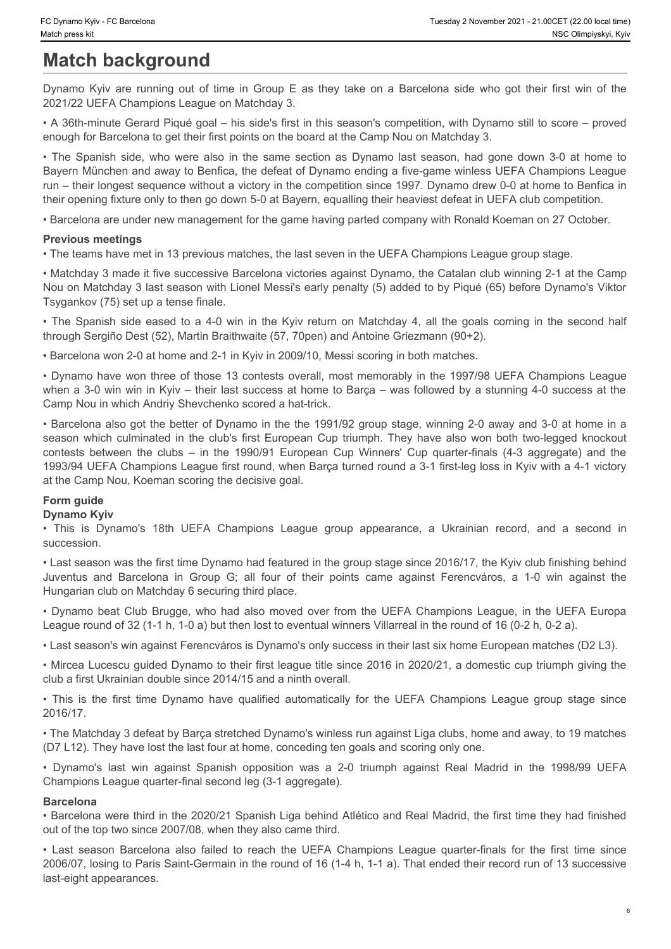# **Match background**

2021/22 UEFA Champions League on Matchday 3.

• A 36th-minute Gerard Piqué goal – his side's first in this season's competition, with Dynamo still to score – proved enough for Barcelona to get their first points on the board at the Camp Nou on Matchday 3.

The State Pressons Kither The State Community of the individual match press Kither Press Kither Press Kither Match **Dackground**<br>
Dynamo Kyiv are running out of time in Group E as they take on a Barcelona side who got their • Chynamo Kyiv - FC Barcelona<br>
• Match background<br>
• Match background<br>
• Dynamo Kyiv are running out of time in Group E as they take on a Barcelona side who got their first win of the<br>
2021/22 UEFA Champions League on Matc Bayern München and away to Benfica, the defeat of Dynamo ending a five-game winless UEFA Champions League run – their longest sequence without a victory in the competition since 1997. Dynamo drew 0-0 at home to Benfica in their opening fixture only to then go down 5-0 at Bayern, equalling their heaviest defeat in UEFA club competition. • Tower New Chieses of The Spanish side eased to a 4-0 win in the Kyiv return on Matchday 3, the SC of The Spanish side of Dynamo Kyiv are numing out of time in Group E as they take on a Barcelona side who got their first

• Barcelona are under new management for the game having parted company with Ronald Koeman on 27 October.

#### **Previous meetings**

• The teams have met in 13 previous matches, the last seven in the UEFA Champions League group stage.

• Matchday 3 made it five successive Barcelona victories against Dynamo, the Catalan club winning 2-1 at the Camp Nou on Matchday 3 last season with Lionel Messi's early penalty (5) added to by Piqué (65) before Dynamo's Viktor Tsygankov (75) set up a tense finale.

through Sergiño Dest (52), Martin Braithwaite (57, 70pen) and Antoine Griezmann (90+2).

• Barcelona won 2-0 at home and 2-1 in Kyiv in 2009/10, Messi scoring in both matches.

• Dynamo have won three of those 13 contests overall, most memorably in the 1997/98 UEFA Champions League when a 3-0 win win in Kyiv – their last success at home to Barça – was followed by a stunning 4-0 success at the Camp Nou in which Andriy Shevchenko scored a hat-trick.

• Barcelona also got the better of Dynamo in the the 1991/92 group stage, winning 2-0 away and 3-0 at home in a Tocomovist - Kreasone<br>
Match background<br>
Match background<br>
Mynamo Kyiv are ruming out of time in Group E as they take on a Barcelona side who got their first win of the<br>
2021/22 UEFA Champions League on Matchday Si and the comme key is between the computer of the in the club of the individual in the clubs of the clubs extended the computer of the clubs – in the 1990/91 European Cup of the clubs – in the 1990/91 European Cup of the clubs – in 1993/94 UEFA Champions League first round, when Barça turned round a 3-1 first-leg loss in Kyiv with a 4-1 victory at the Camp Nou, Koeman scoring the decisive goal. • Champion Commission and the method of the state of the state of the state of the state of the state of the state of the state of the state of the state of the state of the state of the state of the state of the state of unipexe in **background** one computer with computer and their points and the material one of their points and the same of the same of the same of the same of the same of the same of the same of the same of the same of the s **When Example 1946 and the state of the state over Fras likely the moved over from the UEFA Champions League and Mathematic sequential state of the Club Brugge and the UEFA Champions League in the UEFA Champions League in** • The Spanish side, who wave also in the same section as Dynamo last easies, had good et one 20 to the first time to the first time of the first time of the first time of the first time of the first time of the first time • Backeting are under new management for the game having pailed company will Ronald Keeman on 27 October.<br>• The basim back met in 18 projection matches, the last server in the UEFA Champions League goup stage.<br>• Mothday 3 Figure that is a comparison by the first increase.<br>
Figure Movies failed to reach the Noviet English control in the Noviet English control in the position of Branch the Internation (Branch the Hampion Design). The means of

#### **Form guide**

#### **Dynamo Kyiv**

succession.

• Last season was the first time Dynamo had featured in the group stage since 2016/17, the Kyiv club finishing behind Hungarian club on Matchday 6 securing third place.

League round of 32 (1-1 h, 1-0 a) but then lost to eventual winners Villarreal in the round of 16 (0-2 h, 0-2 a).

• Last season's win against Ferencváros is Dynamo's only success in their last six home European matches (D2 L3).

• Mircea Lucescu guided Dynamo to their first league title since 2016 in 2020/21, a domestic cup triumph giving the club a first Ukrainian double since 2014/15 and a ninth overall.

2016/17.

• The Matchday 3 defeat by Barça stretched Dynamo's winless run against Liga clubs, home and away, to 19 matches (D7 L12). They have lost the last four at home, conceding ten goals and scoring only one.

Champions League quarter-final second leg (3-1 aggregate).

#### **Barcelona**

• Barcelona were third in the 2020/21 Spanish Liga behind Atlético and Real Madrid, the first time they had finished out of the top two since 2007/08, when they also came third.

2006/07, losing to Paris Saint-Germain in the round of 16 (1-4 h, 1-1 a). That ended their record run of 13 successive last-eight appearances.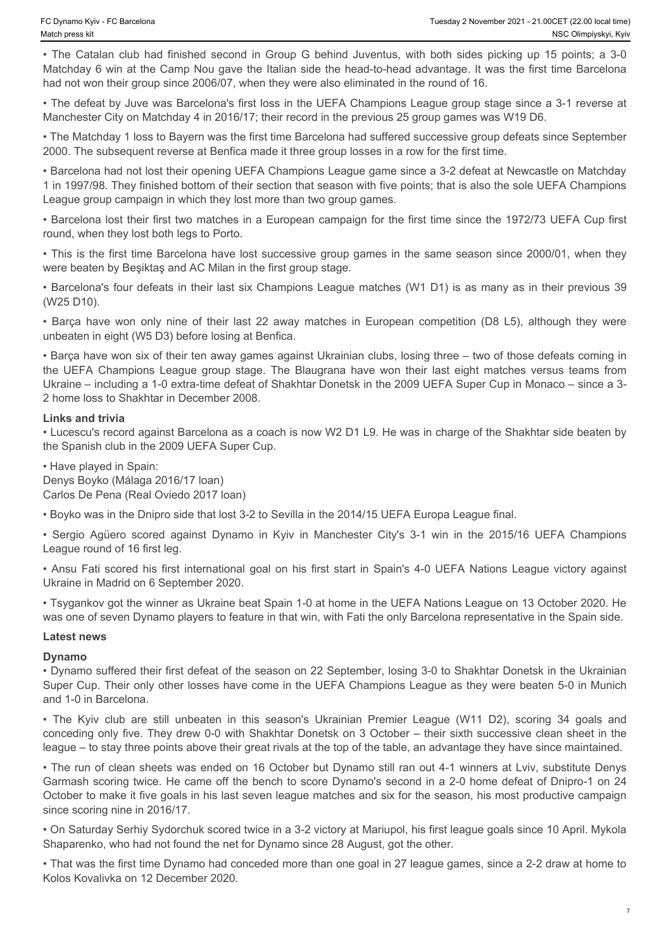Fo Dynamo Kyiv - FC Barcelona<br>
• The Catalan club had finished second in Group G behind Juventus, with both sides picking up 15 points; a 3-0<br>
• The Catalan club had finished second in Group G behind Juventus, with both si Matchday 6 win at the Camp Nou gave the Italian side the head-to-head advantage. It was the first time Barcelona had not won their group since 2006/07, when they were also eliminated in the round of 16.

• The defeat by Juve was Barcelona's first loss in the UEFA Champions League group stage since a 3-1 reverse at Manchester City on Matchday 4 in 2016/17; their record in the previous 25 group games was W19 D6.

• The Matchday 1 loss to Bayern was the first time Barcelona had suffered successive group defeats since September 2000. The subsequent reverse at Benfica made it three group losses in a row for the first time.

• Barcelona had not lost their opening UEFA Champions League game since a 3-2 defeat at Newcastle on Matchday 1 in 1997/98. They finished bottom of their section that season with five points; that is also the sole UEFA Champions League group campaign in which they lost more than two group games.

• Barcelona lost their first two matches in a European campaign for the first time since the 1972/73 UEFA Cup first round, when they lost both legs to Porto.

• This is the first time Barcelona have lost successive group games in the same season since 2000/01, when they were beaten by Beşiktaş and AC Milan in the first group stage.

• Barcelona's four defeats in their last six Champions League matches (W1 D1) is as many as in their previous 39 (W25 D10).

unbeaten in eight (W5 D3) before losing at Benfica.

To the compension only in the Carcel only nine only in the Carcel of the match in the Carcel of the Carcel of the Carcel of the carcel of the match of the carcel of the carcel of the carcel of the carcel of the carcel of t • Barça have won six of their ten away games against Ukrainian clubs, losing three – two of those defeats coming in the passes part of the teams in the UEFA Champions I and the UEFA Champions University. While the UEFA Champions USC Champions League group stage. The Champions League group stage. The Champions League group stage. The Bla Ukraine – including a 1-0 extra-time defeat of Shakhtar Donetsk in the 2009 UEFA Super Cup in Monaco – since a 3- 2 home loss to Shakhtar in December 2008. • Stamma Ker + Ethersione<br>
• Champion and had friedred second in Graup C behind Jummings, with both sides picking in 15 points, 3.30<br>
• The Calalan data had friedred agreed and Way with the Ultra Champion, while both sid • Chanceles international goal of the method is the method of the signific score with the two first international goal on his first start in the method on the method is first start in the first start in the first start in • Rimestion from Colember 2003, the Cymnomic Heapth game still diverside to a Molecular content in the Symmomic Cymnomic Cymnomic Cymnomic Cymnomic Cymnomic Cymnomic Cymnomic Cymnomic Cymnomic Cymnomic Cymnomic Cymnomic Cy

#### **Links and trivia**

• Lucescu's record against Barcelona as a coach is now W2 D1 L9. He was in charge of the Shakhtar side beaten by the Spanish club in the 2009 UEFA Super Cup.

• Have played in Spain: Denys Boyko (Málaga 2016/17 loan) Carlos De Pena (Real Oviedo 2017 loan)

• Boyko was in the Dnipro side that lost 3-2 to Sevilla in the 2014/15 UEFA Europa League final.

League round of 16 first leg.

Ukraine in Madrid on 6 September 2020.

• Tsygankov got the winner as Ukraine beat Spain 1-0 at home in the UEFA Nations League on 13 October 2020. He was one of seven Dynamo players to feature in that win, with Fati the only Barcelona representative in the Spain side.

#### **Latest news**

#### **Dynamo**

• Dynamo suffered their first defeat of the season on 22 September, losing 3-0 to Shakhtar Donetsk in the Ukrainian Super Cup. Their only other losses have come in the UEFA Champions League as they were beaten 5-0 in Munich and 1-0 in Barcelona.

conceding only five. They drew 0-0 with Shakhtar Donetsk on 3 October – their sixth successive clean sheet in the league – to stay three points above their great rivals at the top of the table, an advantage they have since maintained.

• The run of clean sheets was ended on 16 October but Dynamo still ran out 4-1 winners at Lviv, substitute Denys Garmash scoring twice. He came off the bench to score Dynamo's second in a 2-0 home defeat of Dnipro-1 on 24 October to make it five goals in his last seven league matches and six for the season, his most productive campaign since scoring nine in 2016/17.

• On Saturday Serhiy Sydorchuk scored twice in a 3-2 victory at Mariupol, his first league goals since 10 April. Mykola Shaparenko, who had not found the net for Dynamo since 28 August, got the other.

• That was the first time Dynamo had conceded more than one goal in 27 league games, since a 2-2 draw at home to Kolos Kovalivka on 12 December 2020.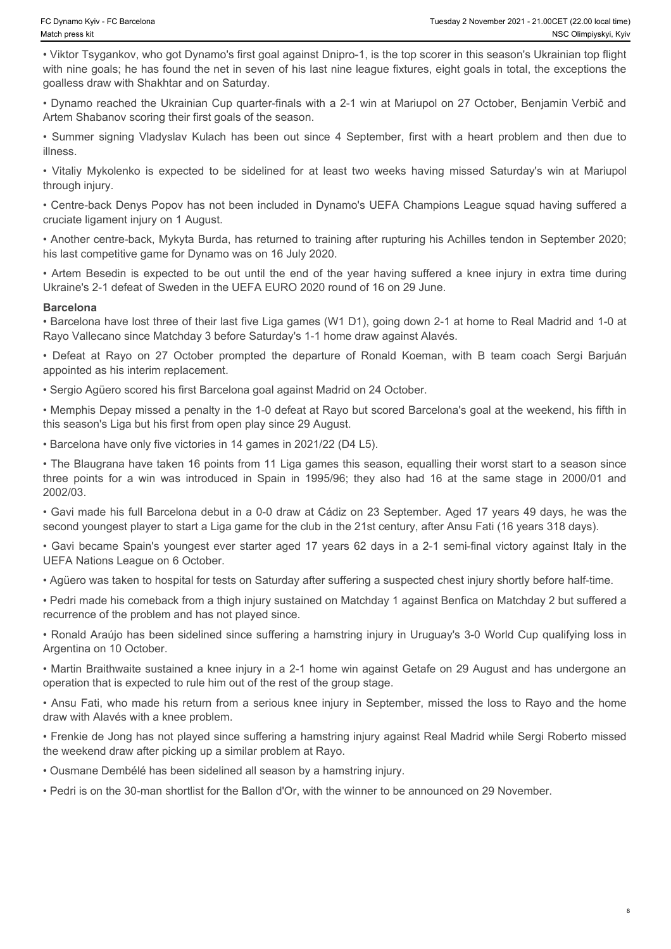• Viktor Tsygankov, who got Dynamo's first goal against Dnipro-1, is the top scorer in this season's Ukrainian top flight with nine goals; he has found the net in seven of his last nine league fixtures, eight goals in total, the exceptions the goalless draw with Shakhtar and on Saturday. • Chynamo Kylv - FC Baroslona<br>• Watch press kit<br>• Viktor Tsygankov, who got Dynamo's first goal against Dnipro-1, is the top scorer in this season's Ukrainian top flight<br>• Wiktor Tsygankov, who got Dynamo's first goal agai • Christian Christian Christian Christian Tuesday 2 November 2021-21.00 CET (22.00 kcalifine)<br>
• Viktor Tsygankov, who got Dynamo's first goal against Dnipro-1, is the top scorer in this season's Ukrainian top flight<br>
with • Colymano Kyv- FC Barelaba<br>• Weeklay 2 Nowember 2011 - 21.00CET (22.0 best week<br>• Viktor Tsygankov, who got Dynamo's first goal against Dnipro-1, is the top scorer in this season's UKariana rop fight<br>• With nine goals; he \*Chrasselviv-"CObreations" Translay Translay November 2021-22 Of Visible with the polytometric with the Visible with the optical attention (with a season's Uscarination (with the departure or MS (with the departure or MS (

• Dynamo reached the Ukrainian Cup quarter-finals with a 2-1 win at Mariupol on 27 October, Benjamin Verbič and Artem Shabanov scoring their first goals of the season.

illness.

through injury.

• Centre-back Denys Popov has not been included in Dynamo's UEFA Champions League squad having suffered a cruciate ligament injury on 1 August.

• Another centre-back, Mykyta Burda, has returned to training after rupturing his Achilles tendon in September 2020; his last competitive game for Dynamo was on 16 July 2020.

Ukraine's 2-1 defeat of Sweden in the UEFA EURO 2020 round of 16 on 29 June.

#### **Barcelona**

• Barcelona have lost three of their last five Liga games (W1 D1), going down 2-1 at home to Real Madrid and 1-0 at Rayo Vallecano since Matchday 3 before Saturday's 1-1 home draw against Alavés.

appointed as his interim replacement.

• Sergio Agüero scored his first Barcelona goal against Madrid on 24 October.

• Memphis Depay missed a penalty in the 1-0 defeat at Rayo but scored Barcelona's goal at the weekend, his fifth in this season's Liga but his first from open play since 29 August.

• Barcelona have only five victories in 14 games in 2021/22 (D4 L5).

• The Blaugrana have taken 16 points from 11 Liga games this season, equalling their worst start to a season since Chapsen Kye-Fit Berame<br>
Chapsen in University of Dynamo's first goal against Dingito 1, is the lop score in this season's University Most Dingitor<br>
University for a sample the relationship in the same of his last nine leag 2002/03.

• Gavi made his full Barcelona debut in a 0-0 draw at Cádiz on 23 September. Aged 17 years 49 days, he was the second youngest player to start a Liga game for the club in the 21st century, after Ansu Fati (16 years 318 days).

• Gavi became Spain's youngest ever starter aged 17 years 62 days in a 2-1 semi-final victory against Italy in the UEFA Nations League on 6 October.

• Agüero was taken to hospital for tests on Saturday after suffering a suspected chest injury shortly before half-time.

• Pedri made his comeback from a thigh injury sustained on Matchday 1 against Benfica on Matchday 2 but suffered a recurrence of the problem and has not played since.

• Ronald Araújo has been sidelined since suffering a hamstring injury in Uruguay's 3-0 World Cup qualifying loss in Argentina on 10 October.

• Martin Braithwaite sustained a knee injury in a 2-1 home win against Getafe on 29 August and has undergone an operation that is expected to rule him out of the rest of the group stage.

• Ansu Fati, who made his return from a serious knee injury in September, missed the loss to Rayo and the home draw with Alavés with a knee problem.

• Frenkie de Jong has not played since suffering a hamstring injury against Real Madrid while Sergi Roberto missed the weekend draw after picking up a similar problem at Rayo.

• Ousmane Dembélé has been sidelined all season by a hamstring injury.

• Pedri is on the 30-man shortlist for the Ballon d'Or, with the winner to be announced on 29 November.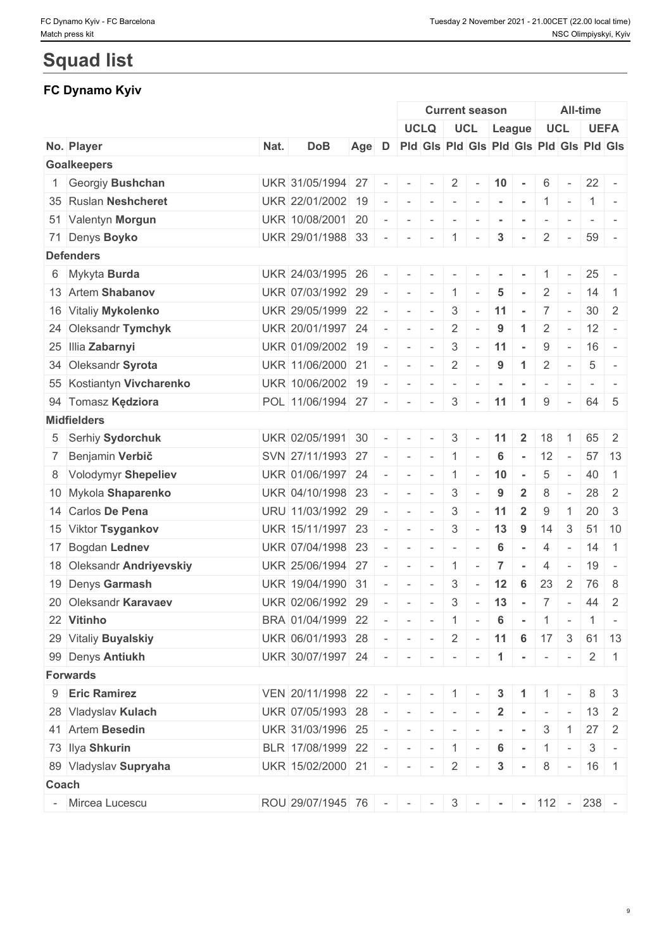# **Squad list**

# **FC Dynamo Kyiv**

|       |                           |      |                                             |       |                          |                                                                                                                                                                                                                                                                                                                                                                                                                                                      | <b>Current season</b>    |                |                          |                          | All-time             |                |                          |                                                          |                |  |
|-------|---------------------------|------|---------------------------------------------|-------|--------------------------|------------------------------------------------------------------------------------------------------------------------------------------------------------------------------------------------------------------------------------------------------------------------------------------------------------------------------------------------------------------------------------------------------------------------------------------------------|--------------------------|----------------|--------------------------|--------------------------|----------------------|----------------|--------------------------|----------------------------------------------------------|----------------|--|
|       |                           |      |                                             |       |                          |                                                                                                                                                                                                                                                                                                                                                                                                                                                      |                          |                |                          | UCLQ UCL League          |                      |                | <b>UCL</b>               |                                                          | <b>UEFA</b>    |  |
|       | No. Player                | Nat. | <b>DoB</b>                                  | Age D |                          |                                                                                                                                                                                                                                                                                                                                                                                                                                                      |                          |                |                          |                          |                      |                |                          | Pid Gis Pid Gis Pid Gis Pid Gis Pid Gis                  |                |  |
|       | <b>Goalkeepers</b>        |      |                                             |       |                          |                                                                                                                                                                                                                                                                                                                                                                                                                                                      |                          |                |                          |                          |                      |                |                          |                                                          |                |  |
|       | 1 Georgiy Bushchan        |      | UKR 31/05/1994 27                           |       | $\overline{\phantom{a}}$ | $\sim$                                                                                                                                                                                                                                                                                                                                                                                                                                               | $\sim$                   | $2 \mid$       | $\sim$                   | $ 10$ -                  |                      | 6              | $\sim$                   |                                                          | $22 -$         |  |
|       | 35 Ruslan Neshcheret      |      | UKR 22/01/2002 19                           |       |                          | $\sim$ $-$                                                                                                                                                                                                                                                                                                                                                                                                                                           |                          |                |                          | $       1$ $-$           |                      |                |                          |                                                          | $1 -$          |  |
|       | 51 Valentyn Morgun        |      | UKR 10/08/2001 20                           |       |                          | $\sim$                                                                                                                                                                                                                                                                                                                                                                                                                                               | $\sim$                   | $\sim$         |                          |                          |                      |                |                          |                                                          |                |  |
|       | 71 Denys Boyko            |      | UKR 29/01/1988 33                           |       | $\sim$                   | $\sim$                                                                                                                                                                                                                                                                                                                                                                                                                                               | $\sim$                   | $\pm$ 1 $\pm$  | $\sim$                   | 3                        | $\sim$               | $\overline{2}$ | $\sim$                   | 59                                                       |                |  |
|       | <b>Defenders</b>          |      |                                             |       |                          |                                                                                                                                                                                                                                                                                                                                                                                                                                                      |                          |                |                          |                          |                      |                |                          |                                                          |                |  |
|       | 6 Mykyta Burda            |      | UKR 24/03/1995 26                           |       |                          |                                                                                                                                                                                                                                                                                                                                                                                                                                                      |                          |                |                          |                          |                      |                |                          | 25                                                       |                |  |
|       | 13 Artem Shabanov         |      | UKR 07/03/1992 29                           |       | $\sim$ $-$               | $\sim$                                                                                                                                                                                                                                                                                                                                                                                                                                               | $\sim$                   | $\overline{1}$ | $\overline{\phantom{a}}$ | 5                        |                      | 2              | $\sim$                   | 14                                                       | $\overline{1}$ |  |
|       | 16 Vitaliy Mykolenko      |      | UKR 29/05/1999 22                           |       |                          | $\sim$                                                                                                                                                                                                                                                                                                                                                                                                                                               | $\sim$                   | $\mathbf{3}$   |                          | $-11$                    |                      |                | $7 -$                    |                                                          | $30 \mid 2$    |  |
|       | 24 Oleksandr Tymchyk      |      | UKR 20/01/1997 24                           |       |                          | $\sim$                                                                                                                                                                                                                                                                                                                                                                                                                                               | $\sim$                   | $\overline{2}$ |                          | 9                        | $\blacktriangleleft$ | $\overline{2}$ | $\sim$                   | 12                                                       | $\sim$ $-$     |  |
|       | 25 Illia Zabarnyi         |      | UKR 01/09/2002 19                           |       |                          | $\overline{\phantom{a}}$                                                                                                                                                                                                                                                                                                                                                                                                                             | $\sim$                   | 3              | $\sim$                   | 11                       | $\sim$               | 9              | $\sim$                   |                                                          | $16 -$         |  |
|       | 34 Oleksandr Syrota       |      | UKR 11/06/2000 21                           |       | $\sim$                   | $\sim$                                                                                                                                                                                                                                                                                                                                                                                                                                               | $\sim$                   | 2              | $\overline{\phantom{a}}$ | 9                        | $\overline{1}$       | $\overline{2}$ | $\sim$                   | 5                                                        |                |  |
|       | 55 Kostiantyn Vivcharenko |      | UKR 10/06/2002 19                           |       |                          | $\sim$                                                                                                                                                                                                                                                                                                                                                                                                                                               | $\sim$                   | $\sim$         | $\sim$                   | $\sim$                   | $\sim$               | $\sim$         | $\sim$                   | $\sim$                                                   |                |  |
|       | 94 Tomasz Kędziora        |      | POL 11/06/1994 27                           |       | $\sim$                   | $\sim$                                                                                                                                                                                                                                                                                                                                                                                                                                               | $\sim$                   | $\mathbf{3}$   | $\sim$                   | 11                       | $\blacktriangleleft$ | 9              | $\sim$                   |                                                          | 64 5           |  |
|       | <b>Midfielders</b>        |      |                                             |       |                          |                                                                                                                                                                                                                                                                                                                                                                                                                                                      |                          |                |                          |                          |                      |                |                          |                                                          |                |  |
|       | 5 Serhiy Sydorchuk        |      | UKR 02/05/1991 30                           |       |                          |                                                                                                                                                                                                                                                                                                                                                                                                                                                      | $\sim$                   | $3^{\circ}$    | $\sim$                   | 11                       | $\mathbf{2}$         | 18             |                          |                                                          | 65 2           |  |
|       | 7 Benjamin Verbič         |      | SVN 27/11/1993 27                           |       | $\sim$                   | $\mathbf{r}$                                                                                                                                                                                                                                                                                                                                                                                                                                         |                          | $-11$          | $\sim$                   | 6                        | $\sim$               | 12             | $\overline{\phantom{a}}$ |                                                          | $57$ 13        |  |
|       | 8 Volodymyr Shepeliev     |      | UKR 01/06/1997 24                           |       | $\sim$                   | $\sim$                                                                                                                                                                                                                                                                                                                                                                                                                                               | $\sim$                   | $\overline{1}$ | $\sim$                   | 10                       | $\sim$               | 5              | $\sim$                   | 40                                                       | $\overline{1}$ |  |
|       | 10 Mykola Shaparenko      |      | UKR 04/10/1998 23                           |       | $\sim$                   | $\sim$                                                                                                                                                                                                                                                                                                                                                                                                                                               | $\sim$                   | $\mathbf{3}$   |                          | 9                        | $\overline{2}$       | 8              |                          |                                                          | $28$ 2         |  |
|       | 14 Carlos De Pena         |      | URU 11/03/1992 29                           |       |                          | $\sim$                                                                                                                                                                                                                                                                                                                                                                                                                                               | $\sim$                   | $\mathbf{3}$   | $\sim$                   | $11$                     | $\overline{2}$       | 9              | $\overline{1}$           |                                                          | $20 \mid 3$    |  |
|       | 15 Viktor Tsygankov       |      | UKR 15/11/1997 23                           |       | $\sim$                   | $\sim$                                                                                                                                                                                                                                                                                                                                                                                                                                               | $\sim$                   | 3              | $\sim$                   | 13                       | 9                    | 14             | 3                        | 51                                                       | 10             |  |
|       | 17 Bogdan Lednev          |      | UKR 07/04/1998 23                           |       |                          | $\sim$                                                                                                                                                                                                                                                                                                                                                                                                                                               | $\sim$                   | $\mathbf{r}$   |                          | 6                        | $\sim$               | $\overline{4}$ | $\sim$                   |                                                          | $14 \mid 1$    |  |
|       | 18 Oleksandr Andriyevskiy |      | UKR 25/06/1994 27                           |       |                          | $\sim$                                                                                                                                                                                                                                                                                                                                                                                                                                               | $\overline{\phantom{a}}$ | 1              | $\sim$                   | $\overline{7}$           | $\sim$               | 4              | $\sim$                   | 19                                                       | $\sim$         |  |
|       | 19 Denys Garmash          |      | UKR 19/04/1990 31                           |       |                          | $\sim$                                                                                                                                                                                                                                                                                                                                                                                                                                               | $\sim$                   | 3              | $\sim$                   | 12                       | 6                    | 23             | <sup>2</sup>             |                                                          | 76 8           |  |
|       | 20 Oleksandr Karavaev     |      | UKR 02/06/1992 29                           |       |                          | $\sim$                                                                                                                                                                                                                                                                                                                                                                                                                                               | $\sim$                   | $\mathbf{3}$   | $\sim$ $-$               | 13                       | $\sim$               |                | $7 -$                    |                                                          | 44 2           |  |
|       | 22 Vitinho                |      | BRA 01/04/1999 22                           |       |                          |                                                                                                                                                                                                                                                                                                                                                                                                                                                      |                          |                |                          |                          |                      |                |                          | $    1$ $ 6$ $ 1$ $ 1$                                   |                |  |
|       | 29 Vitaliy Buyalskiy      |      | UKR 06/01/1993 28                           |       |                          |                                                                                                                                                                                                                                                                                                                                                                                                                                                      |                          |                |                          |                          |                      |                |                          | $    2$ $-$ 11 6 17 3 61 13                              |                |  |
|       | 99 Denys Antiukh          |      | UKR 30/07/1997 24 - - - - - - 1 - 1 - - 2 1 |       |                          |                                                                                                                                                                                                                                                                                                                                                                                                                                                      |                          |                |                          |                          |                      |                |                          |                                                          |                |  |
|       | <b>Forwards</b>           |      |                                             |       |                          |                                                                                                                                                                                                                                                                                                                                                                                                                                                      |                          |                |                          |                          |                      |                |                          |                                                          |                |  |
|       | 9 Eric Ramirez            |      | VEN 20/11/1998 22                           |       |                          |                                                                                                                                                                                                                                                                                                                                                                                                                                                      |                          |                |                          | $    1$ $ 3$ $1$ $1$ $-$ |                      |                |                          |                                                          | $8 \mid 3$     |  |
|       | 28 Vladyslav Kulach       |      | UKR 07/05/1993 28                           |       |                          | $\label{eq:2.1} \begin{array}{lllllllllllllllll} \mathbf{1}_{\mathbf{1}_{\mathbf{1}_{\mathbf{1}_{\mathbf{1}}}}\mathbf{1}_{\mathbf{1}_{\mathbf{1}_{\mathbf{1}}}}\mathbf{1}_{\mathbf{1}_{\mathbf{1}_{\mathbf{1}}}}\mathbf{1}_{\mathbf{1}_{\mathbf{1}_{\mathbf{1}}}}\mathbf{1}_{\mathbf{1}_{\mathbf{1}_{\mathbf{1}}}}\mathbf{1}_{\mathbf{1}_{\mathbf{1}_{\mathbf{1}}}}\mathbf{1}_{\mathbf{1}_{\mathbf{1}_{\mathbf{1}}}}\mathbf{1}_{\mathbf{1}_{\mathbf$ |                          |                | $\sim$                   |                          | $2 - - - -$          |                |                          |                                                          | $13 \mid 2$    |  |
|       | 41 Artem Besedin          |      | UKR 31/03/1996 25                           |       |                          |                                                                                                                                                                                                                                                                                                                                                                                                                                                      |                          |                |                          |                          | $\sim$ $\sim$        |                | $3 \mid 1$               |                                                          | $27 \quad 2$   |  |
|       | 73 Ilya Shkurin           |      | BLR 17/08/1999 22                           |       |                          |                                                                                                                                                                                                                                                                                                                                                                                                                                                      |                          |                |                          | $   1$ $-$ 6 $-$ 1 $-$   |                      |                |                          |                                                          | $3 -$          |  |
|       | 89 Vladyslav Supryaha     |      | UKR 15/02/2000 21 - - - 2 -                 |       |                          |                                                                                                                                                                                                                                                                                                                                                                                                                                                      |                          |                |                          |                          |                      |                |                          | $8 - 16$ 1                                               |                |  |
| Coach |                           |      |                                             |       |                          |                                                                                                                                                                                                                                                                                                                                                                                                                                                      |                          |                |                          | $\mathbf{3}$             | <b>Contract</b>      |                |                          |                                                          |                |  |
|       | - Mircea Lucescu          |      |                                             |       |                          |                                                                                                                                                                                                                                                                                                                                                                                                                                                      |                          |                |                          |                          |                      |                |                          |                                                          |                |  |
|       |                           |      | ROU 29/07/1945 76 - - -                     |       |                          |                                                                                                                                                                                                                                                                                                                                                                                                                                                      |                          |                |                          |                          |                      |                |                          | $3 \mid - \mid - \mid - \mid 112 \mid - \mid 238 \mid -$ |                |  |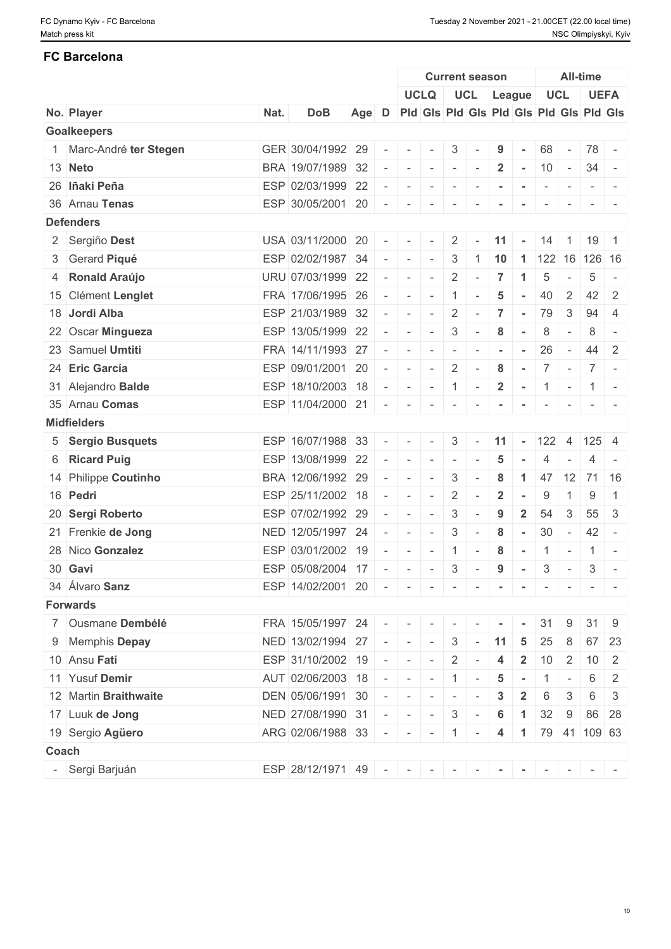## **FC Barcelona**

|                         |      |                                                 |       |                          |                                                                                                | <b>Current season</b> |                          |                          |                 | All-time       |                                               |                          |                                                                                                              |                          |
|-------------------------|------|-------------------------------------------------|-------|--------------------------|------------------------------------------------------------------------------------------------|-----------------------|--------------------------|--------------------------|-----------------|----------------|-----------------------------------------------|--------------------------|--------------------------------------------------------------------------------------------------------------|--------------------------|
|                         |      |                                                 |       |                          |                                                                                                | <b>UCLQ</b>           |                          |                          | UCL League      |                | UCL                                           |                          | <b>UEFA</b>                                                                                                  |                          |
| No. Player              | Nat. | <b>DoB</b>                                      | Age D |                          |                                                                                                |                       |                          |                          |                 |                | Pid Gis Pid Gis Pid Gis Pid Gis Pid Gis       |                          |                                                                                                              |                          |
| <b>Goalkeepers</b>      |      |                                                 |       |                          |                                                                                                |                       |                          |                          |                 |                |                                               |                          |                                                                                                              |                          |
| 1 Marc-André ter Stegen |      | GER 30/04/1992 29                               |       | $\sim$                   | $\sim$                                                                                         | $\sim$                | 3                        |                          | 9               | $\sim$         | 68                                            | $\sim$                   | 78 -                                                                                                         |                          |
| 13 Neto                 |      | BRA 19/07/1989 32                               |       |                          |                                                                                                | $    -$               |                          | $\sim$                   | $\overline{2}$  | $-10$          |                                               | $\sim 10^{-11}$          | $34 -$                                                                                                       |                          |
| 26 lñaki Peña           |      | ESP 02/03/1999 22                               |       | $\overline{\phantom{a}}$ | $\sim$                                                                                         | $\sim$                | $\sim$                   |                          |                 |                | $\overline{\phantom{a}}$                      | $\overline{\phantom{a}}$ |                                                                                                              |                          |
| 36 Arnau Tenas          |      | ESP 30/05/2001 20                               |       | $\sim$                   | $\sim$                                                                                         | $\sim$                | $\overline{\phantom{a}}$ |                          |                 |                |                                               |                          |                                                                                                              |                          |
| <b>Defenders</b>        |      |                                                 |       |                          |                                                                                                |                       |                          |                          |                 |                |                                               |                          |                                                                                                              |                          |
| 2 Sergiño Dest          |      | USA 03/11/2000 20                               |       |                          | $\sim$ 10 $\sim$                                                                               | $\sim$ $-$            | $2 \mid$                 | $\sim$                   | 11              | $\sim$         | $14$ 1 19 1                                   |                          |                                                                                                              |                          |
| 3 Gerard Piqué          |      | ESP 02/02/1987 34                               |       | $\overline{\phantom{a}}$ | $\mathbf{r} = \mathbf{r}$                                                                      | $\sim$                | 3                        | -1                       |                 |                | $10 \mid 1 \mid 122 \mid 16 \mid 126 \mid 16$ |                          |                                                                                                              |                          |
| 4 Ronald Araújo         |      | URU 07/03/1999 22                               |       | $\sim$                   | $\sim$                                                                                         | $\sim$                | 2                        |                          | $\overline{7}$  | $\mathbf{1}$   | 5                                             | $\sim$                   | 5                                                                                                            | $\overline{\phantom{a}}$ |
| 15 Clément Lenglet      |      | FRA 17/06/1995 26                               |       |                          | $-1 - -1$                                                                                      | $\sim$                | $\overline{1}$           |                          | $5\phantom{.0}$ | $\sim$         | 40                                            | 2                        | 42                                                                                                           | -2                       |
| 18 Jordi Alba           |      | ESP 21/03/1989 32                               |       | $\sim$                   | $\sim$                                                                                         | $\sim$                | 2                        | $\sim$                   | $\overline{7}$  | $\sim$         | 79                                            | 3                        | 94                                                                                                           | -4                       |
| 22 Oscar Mingueza       |      | ESP 13/05/1999 22                               |       | $\sim$                   | $\sim$ $-$                                                                                     | $\sim$                | 3                        |                          | 8               |                | 8                                             | $\overline{\phantom{a}}$ | 8                                                                                                            | $\overline{\phantom{a}}$ |
| 23 Samuel Umtiti        |      | FRA 14/11/1993 27                               |       |                          |                                                                                                |                       |                          | $\sim$                   |                 |                | 26                                            | $\sim$                   | $44 \mid 2$                                                                                                  |                          |
| 24 Eric García          |      | ESP 09/01/2001 20                               |       | $\sim$                   | $\mathcal{L} = \mathcal{L}$                                                                    | $\sim$                | $\overline{2}$           | $\sim$                   | 8               | $\sim$         | $\overline{7}$                                | $\overline{\phantom{a}}$ | $7 -$                                                                                                        |                          |
| 31 Alejandro Balde      |      | ESP 18/10/2003 18                               |       |                          | $-1 - 1$                                                                                       | $\sim$                | $\vert$ 1                | $\sim$                   | $\overline{2}$  | $\sim$         | 1                                             | $\overline{\phantom{a}}$ | $1 -$                                                                                                        |                          |
| 35 Arnau Comas          |      | ESP 11/04/2000 21                               |       |                          |                                                                                                | $    -$               |                          | $\sim$                   | $\sim$          | $\sim$         | $\sim$                                        | $\sim$                   | $\frac{1}{2} \left( \frac{1}{2} \right) \left( \frac{1}{2} \right) = \frac{1}{2} \left( \frac{1}{2} \right)$ |                          |
| <b>Midfielders</b>      |      |                                                 |       |                          |                                                                                                |                       |                          |                          |                 |                |                                               |                          |                                                                                                              |                          |
| 5 Sergio Busquets       |      | ESP 16/07/1988 33                               |       | $\overline{\phantom{a}}$ |                                                                                                |                       | 3                        |                          | 11              | $\sim$         | $122$ 4 125 4                                 |                          |                                                                                                              |                          |
| 6 Ricard Puig           |      | ESP 13/08/1999 22                               |       | $\overline{\phantom{a}}$ | $\sim$                                                                                         | $\sim$                | $\sim$                   |                          | 5               |                | 4                                             |                          | 4                                                                                                            | $\overline{\phantom{a}}$ |
| 14 Philippe Coutinho    |      | BRA 12/06/1992 29                               |       |                          | $\sim$                                                                                         | $\sim$                | 3                        |                          | 8               | $\mathbf{1}$   | 47 12 71 16                                   |                          |                                                                                                              |                          |
| 16 Pedri                |      | ESP 25/11/2002 18                               |       | $\omega$                 | $\sim$                                                                                         | $\sim$                | $\overline{2}$           |                          | $\overline{2}$  |                | 9                                             |                          | 9                                                                                                            | -1                       |
| 20 Sergi Roberto        |      | ESP 07/02/1992 29                               |       | $\overline{\phantom{a}}$ | $\sim$                                                                                         | $\sim$                | 3                        |                          | 9               | $\overline{2}$ | 54                                            | 3                        | 55                                                                                                           | -3                       |
| 21 Frenkie de Jong      |      | NED 12/05/1997 24                               |       | $\overline{\phantom{a}}$ | $\sim$                                                                                         | $\sim$                | 3                        |                          | 8               | $\sim$         | 30                                            | $\sim$                   | $42 -$                                                                                                       |                          |
| 28 Nico Gonzalez        |      | ESP 03/01/2002 19                               |       |                          | $\sim$                                                                                         | $\sim$                | $\overline{1}$           | $\sim$                   | 8               | $\sim$         | 1                                             | $\sim$                   | $1 -$                                                                                                        |                          |
| 30 Gavi                 |      | ESP 05/08/2004 17                               |       | $\overline{\phantom{a}}$ | $\sim$                                                                                         | $\sim$                | 3                        | $\overline{\phantom{a}}$ | 9               |                | 3                                             | $\equiv$                 | 3                                                                                                            | $\overline{\phantom{a}}$ |
| 34 Álvaro Sanz          |      | ESP 14/02/2001 20 - - - - - - - - - - - - - -   |       |                          |                                                                                                |                       |                          |                          |                 |                |                                               |                          |                                                                                                              |                          |
| <b>Forwards</b>         |      |                                                 |       |                          |                                                                                                |                       |                          |                          |                 |                |                                               |                          |                                                                                                              |                          |
| 7 Ousmane Dembélé       |      | FRA 15/05/1997 24                               |       | $    -$                  |                                                                                                |                       |                          |                          |                 |                | 31                                            | 9                        | 31                                                                                                           | - 9                      |
| 9 Memphis Depay         |      | NED 13/02/1994 27                               |       |                          | the property of the con-                                                                       |                       | $\mathbf{3}$             | $\sim$                   | $\boxed{11}$    | 5              | 25                                            | 8                        | 67                                                                                                           | 23                       |
| 10 Ansu Fati            |      | ESP 31/10/2002 19                               |       |                          | $\frac{1}{2} \left( \frac{1}{2} \right) \left( \frac{1}{2} \right) \left( \frac{1}{2} \right)$ | $\sim$ $-$            | $-2$                     | $\sim$                   | 4               |                | <b>2</b>   10   2   10   2                    |                          |                                                                                                              |                          |
| 11 Yusuf Demir          |      | AUT 02/06/2003 18                               |       |                          |                                                                                                |                       | $    1$                  | $\sim$                   | $5\phantom{.0}$ | $\sim$         | $\overline{1}$                                | $\overline{\phantom{a}}$ | 6                                                                                                            | 2                        |
| 12 Martin Braithwaite   |      | DEN 05/06/1991 30                               |       | $\sim$                   | $\mathbf{r}$                                                                                   | $\sim$                | $\sim$                   |                          | 3               | $\overline{2}$ | 6                                             | 3                        | 6                                                                                                            | 3                        |
| 17 Luuk de Jong         |      | NED 27/08/1990 31                               |       |                          |                                                                                                |                       | $   3$ $-$               |                          |                 | $\overline{1}$ | 32                                            |                          | 86 28                                                                                                        |                          |
|                         |      |                                                 |       |                          |                                                                                                |                       |                          |                          | 6               |                |                                               | 9                        |                                                                                                              |                          |
| 19 Sergio Agüero        |      | ARG 02/06/1988 33                               |       |                          |                                                                                                |                       | $ -  -   -   1   -$      |                          | 4               |                | $1 \mid 79 \mid 41 \mid 109 \mid 63$          |                          |                                                                                                              |                          |
| Coach                   |      |                                                 |       |                          |                                                                                                |                       |                          |                          |                 |                |                                               |                          |                                                                                                              |                          |
| Sergi Barjuán           |      | ESP 28/12/1971 49 - - - - - - - - - - - - - - - |       |                          |                                                                                                |                       |                          |                          |                 |                |                                               |                          |                                                                                                              |                          |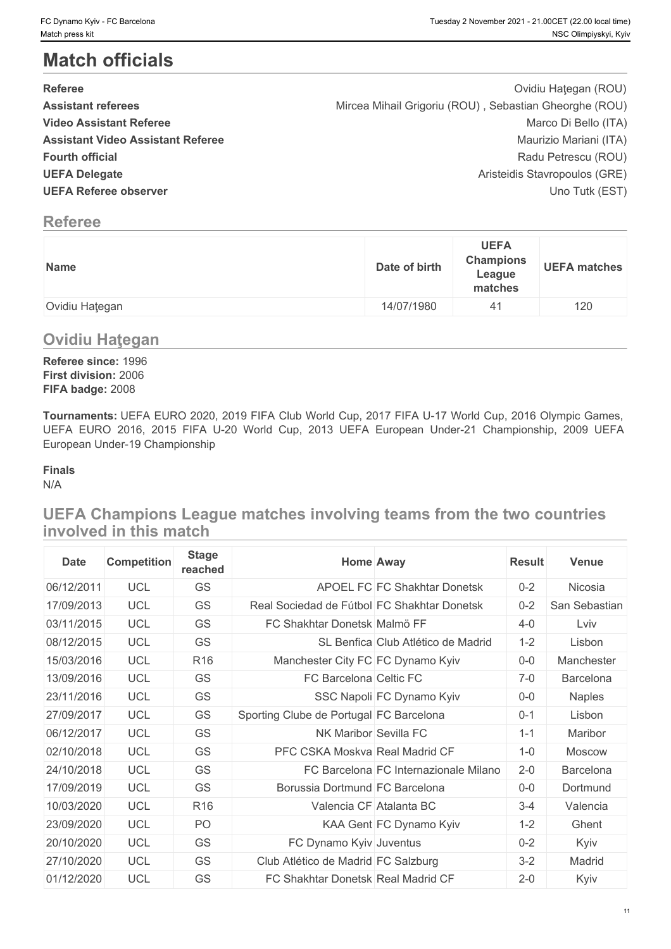# **Match officials**

| FC Dynamo Kyiv - FC Barcelona<br>Match press kit                                                                                                                                                                                        |                                                        |                                                      | Tuesday 2 November 2021 - 21.00CET (22.00 local time)<br>NSC Olimpiyskyi, Kyiv                   |
|-----------------------------------------------------------------------------------------------------------------------------------------------------------------------------------------------------------------------------------------|--------------------------------------------------------|------------------------------------------------------|--------------------------------------------------------------------------------------------------|
| <b>Match officials</b>                                                                                                                                                                                                                  |                                                        |                                                      |                                                                                                  |
| <b>Referee</b><br><b>Assistant referees</b><br><b>Video Assistant Referee</b>                                                                                                                                                           | Mircea Mihail Grigoriu (ROU), Sebastian Gheorghe (ROU) |                                                      | Ovidiu Haţegan (ROU)<br>Marco Di Bello (ITA)                                                     |
| <b>Assistant Video Assistant Referee</b><br><b>Fourth official</b><br><b>UEFA Delegate</b><br><b>UEFA Referee observer</b>                                                                                                              |                                                        |                                                      | Maurizio Mariani (ITA)<br>Radu Petrescu (ROU)<br>Aristeidis Stavropoulos (GRE)<br>Uno Tutk (EST) |
| <b>Referee</b>                                                                                                                                                                                                                          |                                                        |                                                      |                                                                                                  |
| <b>Name</b>                                                                                                                                                                                                                             | Date of birth                                          | <b>UEFA</b><br><b>Champions</b><br>League<br>matches | <b>UEFA matches</b>                                                                              |
| Ovidiu Haţegan                                                                                                                                                                                                                          | 14/07/1980                                             | 41                                                   | 120                                                                                              |
| <b>Ovidiu Hategan</b>                                                                                                                                                                                                                   |                                                        |                                                      |                                                                                                  |
| Referee since: 1996<br>First division: 2006<br>FIFA badge: 2008                                                                                                                                                                         |                                                        |                                                      |                                                                                                  |
| Tournaments: UEFA EURO 2020, 2019 FIFA Club World Cup, 2017 FIFA U-17 World Cup, 2016 Olympic Games,<br>UEFA EURO 2016, 2015 FIFA U-20 World Cup, 2013 UEFA European Under-21 Championship, 2009 UEFA<br>European Under-19 Championship |                                                        |                                                      |                                                                                                  |
| <b>Finals</b><br>N/A                                                                                                                                                                                                                    |                                                        |                                                      |                                                                                                  |
| UEFA Champions League matches involving teams from the two countries<br>involved in this match                                                                                                                                          |                                                        |                                                      |                                                                                                  |
| <b>Stage</b><br>Comnetition<br><b>Date</b>                                                                                                                                                                                              | Home Away                                              |                                                      | Rosult Vonuc                                                                                     |

# **Referee**

| Date of birth<br><b>Name</b> | <b>UEFA</b><br><b>Champions</b><br><b>UEFA matches</b><br>League<br>matches |
|------------------------------|-----------------------------------------------------------------------------|
| 14/07/1980                   | 120                                                                         |
| Ovidiu Haţegan               | 41                                                                          |

# **Ovidiu Haţegan**

#### **Finals**

| <b>Date</b> | <b>Competition</b> | <b>Stage</b><br>reached | <b>Home Away</b>                            | <b>Result</b> | <b>Venue</b>  |
|-------------|--------------------|-------------------------|---------------------------------------------|---------------|---------------|
| 06/12/2011  | <b>UCL</b>         | GS                      | APOEL FC FC Shakhtar Donetsk                | $0 - 2$       | Nicosia       |
| 17/09/2013  | <b>UCL</b>         | <b>GS</b>               | Real Sociedad de Fútbol FC Shakhtar Donetsk | $0 - 2$       | San Sebastian |
| 03/11/2015  | <b>UCL</b>         | <b>GS</b>               | FC Shakhtar Donetsk Malmö FF                | $4 - 0$       | Lviv          |
| 08/12/2015  | <b>UCL</b>         | <b>GS</b>               | SL Benfica Club Atlético de Madrid          | $1 - 2$       | Lisbon        |
| 15/03/2016  | <b>UCL</b>         | R <sub>16</sub>         | Manchester City FC FC Dynamo Kyiv           | $0-0$         | Manchester    |
| 13/09/2016  | <b>UCL</b>         | <b>GS</b>               | FC Barcelona Celtic FC                      | $7-0$         | Barcelona     |
| 23/11/2016  | <b>UCL</b>         | <b>GS</b>               | SSC Napoli FC Dynamo Kyiv                   | $0-0$         | <b>Naples</b> |
| 27/09/2017  | <b>UCL</b>         | <b>GS</b>               | Sporting Clube de Portugal FC Barcelona     | $0 - 1$       | Lisbon        |
| 06/12/2017  | <b>UCL</b>         | <b>GS</b>               | NK Maribor Sevilla FC                       | $1 - 1$       | Maribor       |
| 02/10/2018  | <b>UCL</b>         | <b>GS</b>               | PFC CSKA Moskva Real Madrid CF              | $1 - 0$       | <b>Moscow</b> |
| 24/10/2018  | <b>UCL</b>         | <b>GS</b>               | FC Barcelona FC Internazionale Milano       | $2 - 0$       | Barcelona     |
| 17/09/2019  | <b>UCL</b>         | <b>GS</b>               | Borussia Dortmund FC Barcelona              | $0-0$         | Dortmund      |
| 10/03/2020  | <b>UCL</b>         | R <sub>16</sub>         | Valencia CF Atalanta BC                     | $3 - 4$       | Valencia      |
| 23/09/2020  | <b>UCL</b>         | PO.                     | KAA Gent FC Dynamo Kyiv                     | $1 - 2$       | Ghent         |
| 20/10/2020  | <b>UCL</b>         | <b>GS</b>               | FC Dynamo Kyiv Juventus                     | $0 - 2$       | Kyiv          |
| 27/10/2020  | <b>UCL</b>         | <b>GS</b>               | Club Atlético de Madrid FC Salzburg         | $3 - 2$       | Madrid        |
| 01/12/2020  | <b>UCL</b>         | <b>GS</b>               | FC Shakhtar Donetsk Real Madrid CF          | $2 - 0$       | Kyiv          |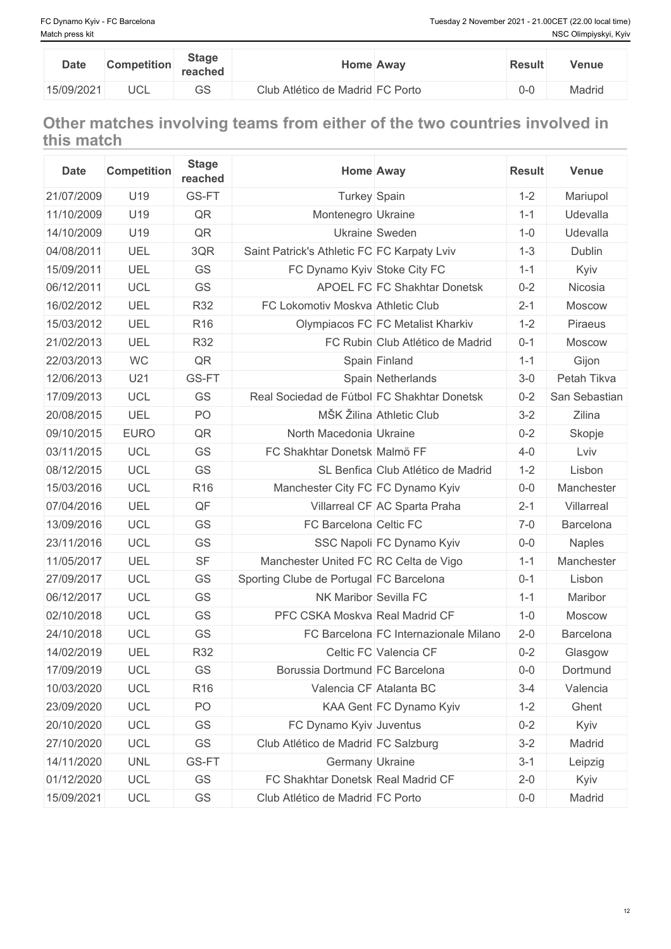| <b>Date</b> | <b>Competition</b> | <b>Stage</b><br>reached |                                  | <b>Home Away</b> | <b>Result</b> | Venue  |
|-------------|--------------------|-------------------------|----------------------------------|------------------|---------------|--------|
| 15/09/2021  | $\sim$<br>ししレ      | $\sim$ $\sim$<br>◡◡     | Club Atlético de Madrid FC Porto |                  | $0 - 0$       | Madrid |

# **Other matches involving teams from either of the two countries involved in this match**

| <b>Date</b> | <b>Competition</b> | <b>Stage</b><br>reached | <b>Home Away</b>                            |                                       | <b>Result</b> | <b>Venue</b>  |
|-------------|--------------------|-------------------------|---------------------------------------------|---------------------------------------|---------------|---------------|
| 21/07/2009  | U19                | GS-FT                   | Turkey Spain                                |                                       | $1 - 2$       | Mariupol      |
| 11/10/2009  | U19                | QR                      | Montenegro Ukraine                          |                                       | $1 - 1$       | Udevalla      |
| 14/10/2009  | U19                | QR                      | <b>Ukraine Sweden</b>                       |                                       | $1 - 0$       | Udevalla      |
| 04/08/2011  | UEL                | 3QR                     | Saint Patrick's Athletic FC FC Karpaty Lviv |                                       | $1 - 3$       | Dublin        |
| 15/09/2011  | UEL                | GS                      | FC Dynamo Kyiv Stoke City FC                |                                       | $1 - 1$       | Kyiv          |
| 06/12/2011  | <b>UCL</b>         | GS                      |                                             | APOEL FC FC Shakhtar Donetsk          | $0 - 2$       | Nicosia       |
| 16/02/2012  | UEL                | <b>R32</b>              | FC Lokomotiv Moskva Athletic Club           |                                       | $2 - 1$       | <b>Moscow</b> |
| 15/03/2012  | UEL                | R <sub>16</sub>         |                                             | Olympiacos FC FC Metalist Kharkiv     | $1 - 2$       | Piraeus       |
| 21/02/2013  | UEL                | <b>R32</b>              |                                             | FC Rubin Club Atlético de Madrid      | $0 - 1$       | Moscow        |
| 22/03/2013  | <b>WC</b>          | QR                      | Spain Finland                               |                                       | $1 - 1$       | Gijon         |
| 12/06/2013  | U21                | GS-FT                   |                                             | Spain Netherlands                     | $3-0$         | Petah Tikva   |
| 17/09/2013  | <b>UCL</b>         | GS                      | Real Sociedad de Fútbol FC Shakhtar Donetsk |                                       | $0 - 2$       | San Sebastian |
| 20/08/2015  | UEL                | PO                      | MŠK Žilina Athletic Club                    |                                       | $3 - 2$       | Zilina        |
| 09/10/2015  | <b>EURO</b>        | QR                      | North Macedonia Ukraine                     |                                       | $0 - 2$       | Skopje        |
| 03/11/2015  | <b>UCL</b>         | GS                      | FC Shakhtar Donetsk Malmö FF                |                                       | $4 - 0$       | Lviv          |
| 08/12/2015  | <b>UCL</b>         | GS                      |                                             | SL Benfica Club Atlético de Madrid    | $1 - 2$       | Lisbon        |
| 15/03/2016  | <b>UCL</b>         | R <sub>16</sub>         | Manchester City FC FC Dynamo Kyiv           |                                       | $0-0$         | Manchester    |
| 07/04/2016  | UEL                | QF                      |                                             | Villarreal CF AC Sparta Praha         | $2 - 1$       | Villarreal    |
| 13/09/2016  | <b>UCL</b>         | GS                      | FC Barcelona Celtic FC                      |                                       | $7 - 0$       | Barcelona     |
| 23/11/2016  | <b>UCL</b>         | GS                      |                                             | SSC Napoli FC Dynamo Kyiv             | $0-0$         | <b>Naples</b> |
| 11/05/2017  | UEL                | <b>SF</b>               | Manchester United FC RC Celta de Vigo       |                                       | $1 - 1$       | Manchester    |
| 27/09/2017  | <b>UCL</b>         | GS                      | Sporting Clube de Portugal FC Barcelona     |                                       | $0 - 1$       | Lisbon        |
| 06/12/2017  | <b>UCL</b>         | <b>GS</b>               | NK Maribor Sevilla FC                       |                                       | $1 - 1$       | Maribor       |
| 02/10/2018  | <b>UCL</b>         | GS                      | PFC CSKA Moskva Real Madrid CF              |                                       | $1 - 0$       | <b>Moscow</b> |
| 24/10/2018  | <b>UCL</b>         | GS                      |                                             | FC Barcelona FC Internazionale Milano | $2 - 0$       | Barcelona     |
| 14/02/2019  | UEL                | <b>R32</b>              | Celtic FC Valencia CF                       |                                       | $0 - 2$       | Glasgow       |
| 17/09/2019  | <b>UCL</b>         | GS                      | Borussia Dortmund FC Barcelona              |                                       | $0-0$         | Dortmund      |
| 10/03/2020  | <b>UCL</b>         | R <sub>16</sub>         | Valencia CF Atalanta BC                     |                                       | $3 - 4$       | Valencia      |
| 23/09/2020  | UCL                | PO                      |                                             | KAA Gent FC Dynamo Kyiv               | $1 - 2$       | Ghent         |
| 20/10/2020  | UCL                | GS                      | FC Dynamo Kyiv Juventus                     |                                       | $0 - 2$       | Kyiv          |
| 27/10/2020  | <b>UCL</b>         | GS                      | Club Atlético de Madrid FC Salzburg         |                                       | $3 - 2$       | Madrid        |
| 14/11/2020  | <b>UNL</b>         | GS-FT                   | Germany Ukraine                             |                                       | $3-1$         | Leipzig       |
| 01/12/2020  | UCL                | GS                      | FC Shakhtar Donetsk Real Madrid CF          |                                       | $2 - 0$       | Kyiv          |
| 15/09/2021  | <b>UCL</b>         | GS                      | Club Atlético de Madrid FC Porto            |                                       | $0-0$         | Madrid        |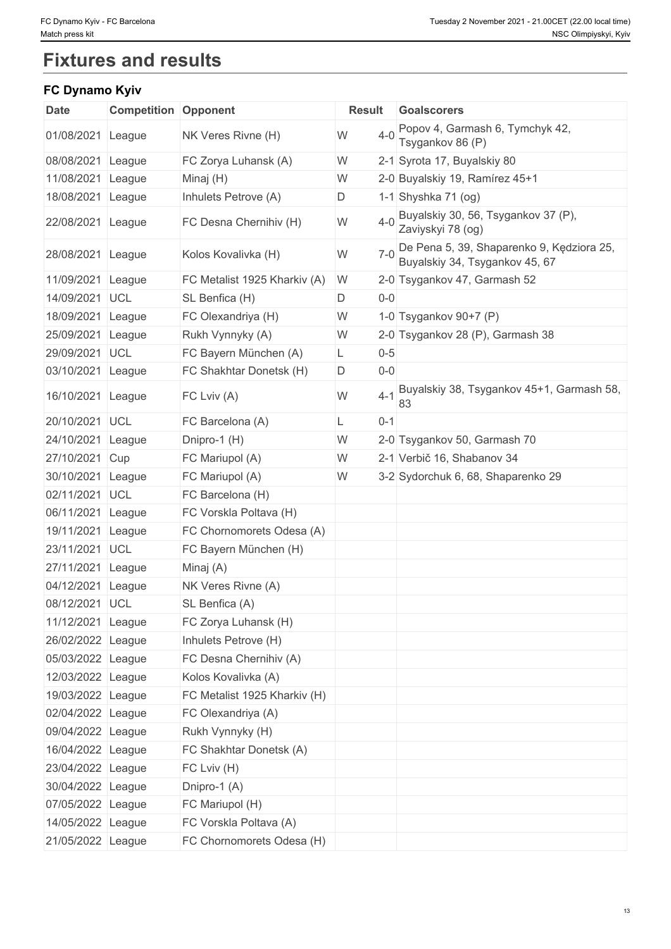# **Fixtures and results**

### **FC Dynamo Kyiv**

| <b>Date</b>       | <b>Competition Opponent</b> |                              | <b>Result</b> | <b>Goalscorers</b>                                                          |
|-------------------|-----------------------------|------------------------------|---------------|-----------------------------------------------------------------------------|
| 01/08/2021 League |                             | NK Veres Rivne (H)           | $4 - 0$<br>W  | Popov 4, Garmash 6, Tymchyk 42,<br>Tsygankov 86 (P)                         |
| 08/08/2021        | League                      | FC Zorya Luhansk (A)         | W             | 2-1 Syrota 17, Buyalskiy 80                                                 |
| 11/08/2021        | League                      | Minaj (H)                    | W             | 2-0 Buyalskiy 19, Ramírez 45+1                                              |
| 18/08/2021 League |                             | Inhulets Petrove (A)         | D             | 1-1 Shyshka 71 $(og)$                                                       |
| 22/08/2021 League |                             | FC Desna Chernihiv (H)       | $4 - 0$<br>W  | Buyalskiy 30, 56, Tsygankov 37 (P),<br>Zaviyskyi 78 (og)                    |
| 28/08/2021 League |                             | Kolos Kovalivka (H)          | $7-0$<br>W    | De Pena 5, 39, Shaparenko 9, Kędziora 25,<br>Buyalskiy 34, Tsygankov 45, 67 |
| 11/09/2021 League |                             | FC Metalist 1925 Kharkiv (A) | W             | 2-0 Tsygankov 47, Garmash 52                                                |
| 14/09/2021 UCL    |                             | SL Benfica (H)               | $0-0$<br>D    |                                                                             |
| 18/09/2021        | League                      | FC Olexandriya (H)           | W             | 1-0 Tsygankov 90+7 (P)                                                      |
| 25/09/2021        | League                      | Rukh Vynnyky (A)             | W             | 2-0 Tsygankov 28 (P), Garmash 38                                            |
| 29/09/2021        | UCL                         | FC Bayern München (A)        | $0 - 5$<br>L  |                                                                             |
| 03/10/2021 League |                             | FC Shakhtar Donetsk (H)      | $0-0$<br>D    |                                                                             |
| 16/10/2021 League |                             | FC Lviv (A)                  | W<br>$4 - 1$  | Buyalskiy 38, Tsygankov 45+1, Garmash 58,<br>83                             |
| 20/10/2021 UCL    |                             | FC Barcelona (A)             | $0 - 1$       |                                                                             |
| 24/10/2021        | League                      | Dnipro-1 (H)                 | W             | 2-0 Tsygankov 50, Garmash 70                                                |
| 27/10/2021        | Cup                         | FC Mariupol (A)              | W             | 2-1 Verbič 16, Shabanov 34                                                  |
| 30/10/2021        | League                      | FC Mariupol (A)              | W             | 3-2 Sydorchuk 6, 68, Shaparenko 29                                          |
| 02/11/2021 UCL    |                             | FC Barcelona (H)             |               |                                                                             |
| 06/11/2021        | League                      | FC Vorskla Poltava (H)       |               |                                                                             |
| 19/11/2021        | League                      | FC Chornomorets Odesa (A)    |               |                                                                             |
| 23/11/2021 UCL    |                             | FC Bayern München (H)        |               |                                                                             |
| 27/11/2021        | League                      | Minaj (A)                    |               |                                                                             |
| 04/12/2021 League |                             | NK Veres Rivne (A)           |               |                                                                             |
| 08/12/2021 UCL    |                             | SL Benfica (A)               |               |                                                                             |
| 11/12/2021 League |                             | FC Zorya Luhansk (H)         |               |                                                                             |
| 26/02/2022 League |                             | Inhulets Petrove (H)         |               |                                                                             |
| 05/03/2022 League |                             | FC Desna Chernihiv (A)       |               |                                                                             |
| 12/03/2022 League |                             | Kolos Kovalivka (A)          |               |                                                                             |
| 19/03/2022 League |                             | FC Metalist 1925 Kharkiv (H) |               |                                                                             |
| 02/04/2022 League |                             | FC Olexandriya (A)           |               |                                                                             |
| 09/04/2022 League |                             | Rukh Vynnyky (H)             |               |                                                                             |
| 16/04/2022 League |                             | FC Shakhtar Donetsk (A)      |               |                                                                             |
| 23/04/2022 League |                             | FC Lviv (H)                  |               |                                                                             |
| 30/04/2022 League |                             | Dnipro-1 (A)                 |               |                                                                             |
| 07/05/2022 League |                             | FC Mariupol (H)              |               |                                                                             |
| 14/05/2022 League |                             | FC Vorskla Poltava (A)       |               |                                                                             |
| 21/05/2022 League |                             | FC Chornomorets Odesa (H)    |               |                                                                             |
|                   |                             |                              |               |                                                                             |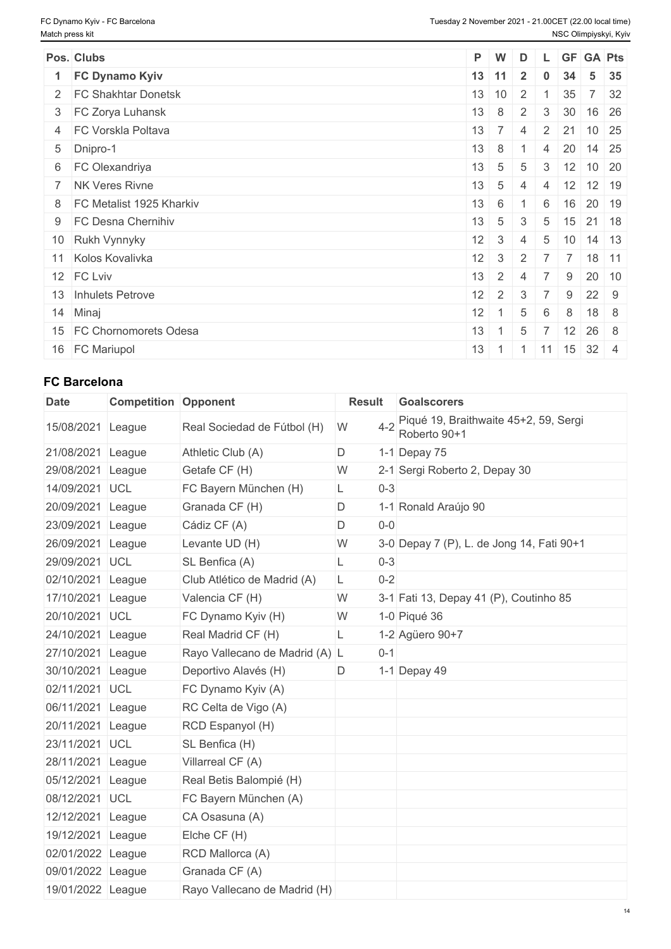| Pos. Clubs                   | $P$ W            |                | D              |                |                |                                           | L GF GA Pts |
|------------------------------|------------------|----------------|----------------|----------------|----------------|-------------------------------------------|-------------|
| 1 FC Dynamo Kyiv             | $13$ 11          |                | $\overline{2}$ | $\bf{0}$       | 34             | $5 \mid 35$                               |             |
| 2 FC Shakhtar Donetsk        | 13 10            |                | $\vert$ 2      |                | 35             |                                           | 7 32        |
| 3 FC Zorya Luhansk           | 13               | $8 \mid 2$     |                | 3              | 30             | 16 26                                     |             |
| 4 FC Vorskla Poltava         | 13               | $\overline{7}$ | $\overline{4}$ | $\overline{2}$ | 21             | $10 \overline{\smash{\big)}\ 25}$         |             |
| 5 Dnipro-1                   | $13 \quad 8$     |                |                | $\overline{4}$ |                | 20 14 25                                  |             |
| 6 FC Olexandriya             | 13               | $-1.5$         | $\overline{5}$ |                |                | $3 \mid 12 \mid 10 \mid 20$               |             |
| 7 NK Veres Rivne             | 13               | 5 <sub>1</sub> | 4              | $\overline{4}$ |                | $12$ 12 19                                |             |
| 8   FC Metalist 1925 Kharkiv | $13 \quad 6$     |                |                | 6              |                | 16 20 19                                  |             |
| 9 FC Desna Chernihiv         | 13               | $-15-1$        | 3              |                |                | $5 \mid 15 \mid 21 \mid 18$               |             |
| 10 Rukh Vynnyky              | $12 \quad 3$     |                | 4              | 5              |                | $10 \mid 14 \mid 13$                      |             |
| 11 Kolos Kovalivka           | $12 \mid 3$      |                | 2              | 7 <sup>1</sup> | $\overline{7}$ | 18 11                                     |             |
| 12 FC Lviv                   | 13               | $2 \mid 4$     |                | $\overline{7}$ | 9              | $20 \mid 10$                              |             |
| 13 Inhulets Petrove          | $12 \mid 2 \mid$ |                | 3              |                | 9              | $22 \quad 9$                              |             |
| 14 Minaj                     | $12 \mid 1$      |                | 5              | 6              | 8              | $18 \quad 8$                              |             |
| 15 FC Chornomorets Odesa     | 13               | $\sim$ 1       | 5              |                |                | $12 \mid 26 \mid 8$                       |             |
| 16 FC Mariupol               | 13               |                |                |                |                | $1 \mid 1 \mid 11 \mid 15 \mid 32 \mid 4$ |             |

# **FC Barcelona**

| <b>Date</b>       | <b>Competition Opponent</b> |                                | <b>Result</b> | <b>Goalscorers</b>                                    |
|-------------------|-----------------------------|--------------------------------|---------------|-------------------------------------------------------|
| 15/08/2021 League |                             | Real Sociedad de Fútbol (H)    | $4 - 2$<br>W  | Piqué 19, Braithwaite 45+2, 59, Sergi<br>Roberto 90+1 |
| 21/08/2021        | League                      | Athletic Club (A)              | D             | 1-1 Depay 75                                          |
| 29/08/2021        | League                      | Getafe CF (H)                  | W             | 2-1 Sergi Roberto 2, Depay 30                         |
| 14/09/2021        | <b>UCL</b>                  | FC Bayern München (H)          | $0 - 3$<br>L  |                                                       |
| 20/09/2021 League |                             | Granada CF (H)                 | D             | 1-1 Ronald Araújo 90                                  |
| 23/09/2021        | League                      | Cádiz CF (A)                   | D<br>$0-0$    |                                                       |
| 26/09/2021 League |                             | Levante UD (H)                 | W             | 3-0 Depay 7 (P), L. de Jong 14, Fati 90+1             |
| 29/09/2021        | UCL                         | SL Benfica (A)                 | $0 - 3$<br>L  |                                                       |
| 02/10/2021        | League                      | Club Atlético de Madrid (A)    | $0 - 2$<br>L  |                                                       |
| 17/10/2021 League |                             | Valencia CF (H)                | W             | 3-1 Fati 13, Depay 41 (P), Coutinho 85                |
| 20/10/2021 UCL    |                             | FC Dynamo Kyiv (H)             | W             | 1-0 Piqué 36                                          |
| 24/10/2021 League |                             | Real Madrid CF (H)             | L             | 1-2 Agüero 90+7                                       |
| 27/10/2021 League |                             | Rayo Vallecano de Madrid (A) L | $0 - 1$       |                                                       |
| 30/10/2021 League |                             | Deportivo Alavés (H)           | D             | 1-1 Depay 49                                          |
| 02/11/2021        | <b>UCL</b>                  | FC Dynamo Kyiv (A)             |               |                                                       |
| 06/11/2021 League |                             | RC Celta de Vigo (A)           |               |                                                       |
| 20/11/2021 League |                             | RCD Espanyol (H)               |               |                                                       |
| 23/11/2021 UCL    |                             | SL Benfica (H)                 |               |                                                       |
| 28/11/2021 League |                             | Villarreal CF (A)              |               |                                                       |
| 05/12/2021 League |                             | Real Betis Balompié (H)        |               |                                                       |
| 08/12/2021 UCL    |                             | FC Bayern München (A)          |               |                                                       |
| 12/12/2021 League |                             | CA Osasuna (A)                 |               |                                                       |
| 19/12/2021 League |                             | Elche CF (H)                   |               |                                                       |
| 02/01/2022 League |                             | RCD Mallorca (A)               |               |                                                       |
| 09/01/2022 League |                             | Granada CF (A)                 |               |                                                       |
| 19/01/2022 League |                             | Rayo Vallecano de Madrid (H)   |               |                                                       |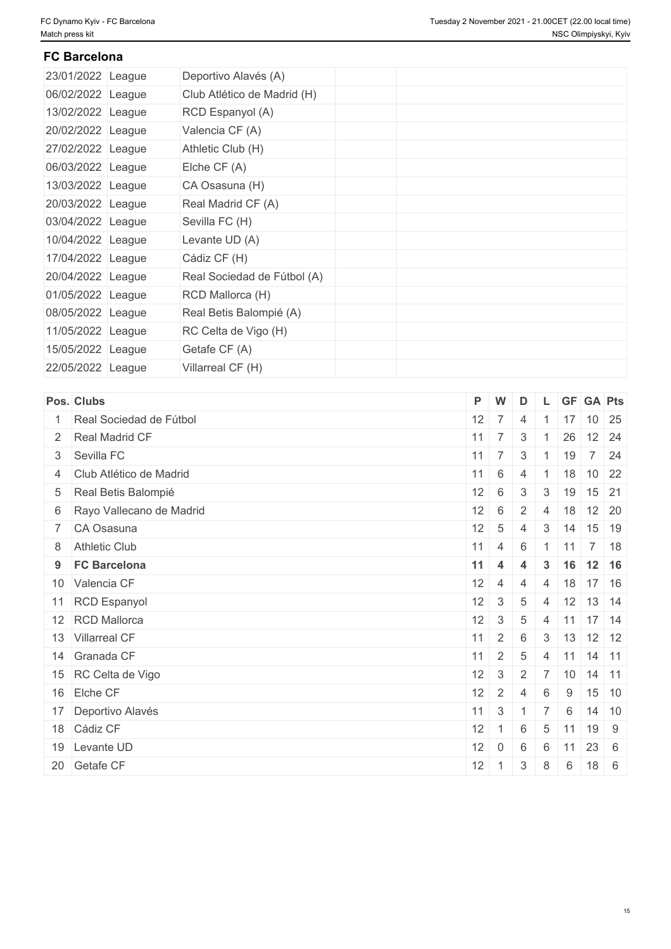## **FC Barcelona**

| 23/01/2022 League | Deportivo Alavés (A)        |  |
|-------------------|-----------------------------|--|
| 06/02/2022 League | Club Atlético de Madrid (H) |  |
| 13/02/2022 League | RCD Espanyol (A)            |  |
| 20/02/2022 League | Valencia CF (A)             |  |
| 27/02/2022 League | Athletic Club (H)           |  |
| 06/03/2022 League | Elche $CF(A)$               |  |
| 13/03/2022 League | CA Osasuna (H)              |  |
| 20/03/2022 League | Real Madrid CF (A)          |  |
| 03/04/2022 League | Sevilla FC (H)              |  |
| 10/04/2022 League | Levante UD (A)              |  |
| 17/04/2022 League | Cádiz CF (H)                |  |
| 20/04/2022 League | Real Sociedad de Fútbol (A) |  |
| 01/05/2022 League | RCD Mallorca (H)            |  |
| 08/05/2022 League | Real Betis Balompié (A)     |  |
| 11/05/2022 League | RC Celta de Vigo (H)        |  |
| 15/05/2022 League | Getafe CF (A)               |  |
| 22/05/2022 League | Villarreal CF (H)           |  |

| Pos. Clubs                 | P W          |                  | D              |                |                    | L GF GA Pts                       |
|----------------------------|--------------|------------------|----------------|----------------|--------------------|-----------------------------------|
| 1 Real Sociedad de Fútbol  |              | $12 \mid 7 \mid$ | $\overline{4}$ |                |                    | $17$ 10 25                        |
| 2 Real Madrid CF           |              | $11 \mid 7 \mid$ | 3              |                | 26                 | $12 \overline{\smash{\big)}\ 24}$ |
| 3 Sevilla FC               |              | $11 \mid 7 \mid$ | 3              |                | 19                 | 7 24                              |
| 4 Club Atlético de Madrid  | $11 \quad 6$ |                  | $\overline{4}$ |                |                    | $18$ 10 22                        |
| 5 Real Betis Balompié      | $12 \mid 6$  |                  | $\mathbf{3}$   | 3              | $+19$ <sup>+</sup> | 15 21                             |
| 6 Rayo Vallecano de Madrid | 12           | 6                | 2              | $\overline{4}$ |                    | $18$ 12 20                        |
| 7 CA Osasuna               | 12           | $5\overline{5}$  | $\overline{4}$ | 3              | 14                 | 15 19                             |
| 8 Athletic Club            |              | $11 \mid 4 \mid$ | 6              |                |                    | $1 \mid 11 \mid 7 \mid 18$        |
| 9 FC Barcelona             | $11 \quad 4$ |                  | $\overline{4}$ | $3^{\circ}$    |                    | $16$ 12 16                        |
| 10 Valencia CF             | $12 \mid 4$  |                  | $\overline{4}$ | $\overline{4}$ |                    | $18$ 17 16                        |
| 11 RCD Espanyol            | 12           | $\mathbf{3}$     | $\sqrt{5}$     | $\overline{4}$ |                    | $12$ 13 14                        |
| 12 RCD Mallorca            | 12           | $\mathbf{3}$     | 5              | $\overline{4}$ |                    | $11$ 17 14                        |
| 13 Villarreal CF           | 11           | $2^{\circ}$      | 6              |                |                    | $3 \mid 13 \mid 12 \mid 12$       |
| 14 Granada CF              |              | $11 \mid 2 \mid$ | 5              | $\overline{4}$ |                    | $11$ 14 11                        |
| 15 RC Celta de Vigo        | 12           | $\mathbf{3}$     | 2              |                |                    | $7$ 10 14 11                      |
| 16 Elche CF                | 12           | $\pm$ 2 $^{\pm}$ | $\overline{4}$ | 6              | 9                  | $15$ 10                           |
| 17 Deportivo Alavés        | 11           | $\mathbf{3}$     |                | $\top$ 7       | 6                  | $14$ 10                           |
| 18 Cádiz CF                | 12           | $\sim$ 1         | 6              | 5              | 11                 | 19 9                              |
| 19 Levante UD              | 12           | $\overline{0}$   | 6              | 6              | 11                 | $23 \quad 6$                      |
| 20 Getafe CF               | 12           | $\overline{1}$   | 3              | 8              | 6                  | 18 6                              |
|                            |              |                  |                |                |                    |                                   |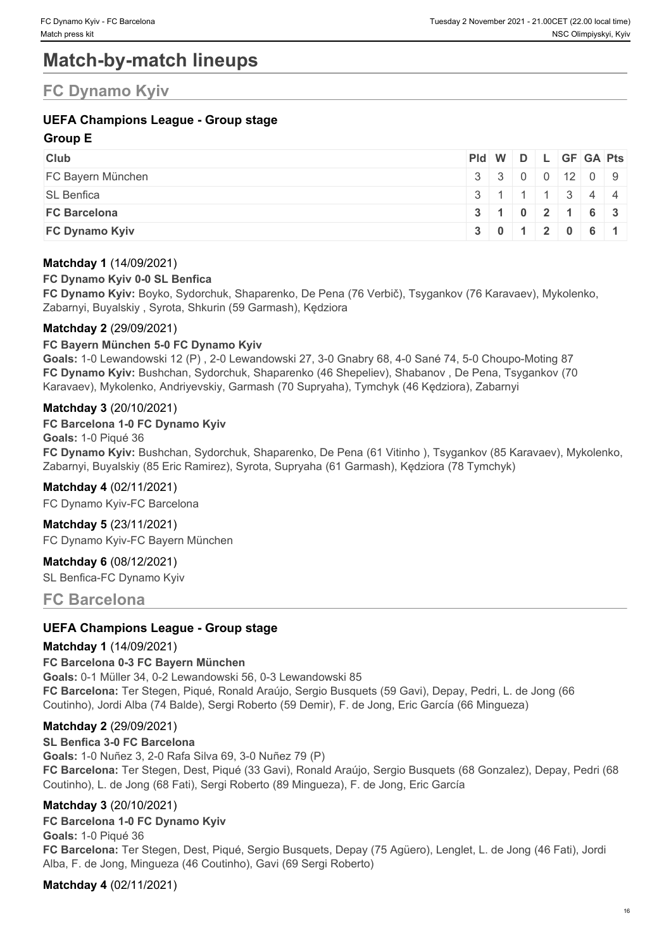# **Match-by-match lineups**

# **FC Dynamo Kyiv**

# **UEFA Champions League - Group stage**

#### **Group E**

| <b>Club</b>           | Pid W D L GF GA Pts |  |  |                                               |  |
|-----------------------|---------------------|--|--|-----------------------------------------------|--|
| FC Bayern München     |                     |  |  | 330001209                                     |  |
| <b>SL Benfica</b>     |                     |  |  | $3 \mid 1 \mid 1 \mid 1 \mid 3 \mid 4 \mid 4$ |  |
| <b>FC Barcelona</b>   |                     |  |  | 3   1   0   2   1   6   3                     |  |
| <b>FC Dynamo Kyiv</b> |                     |  |  | 3 0 1 2 0 6 1                                 |  |

#### **Matchday 1** (14/09/2021)

#### **FC Dynamo Kyiv 0-0 SL Benfica**

**FC Dynamo Kyiv:** Boyko, Sydorchuk, Shaparenko, De Pena (76 Verbič), Tsygankov (76 Karavaev), Mykolenko, Zabarnyi, Buyalskiy , Syrota, Shkurin (59 Garmash), Kędziora

#### **Matchday 2** (29/09/2021)

#### **FC Bayern München 5-0 FC Dynamo Kyiv**

**Goals:** 1-0 Lewandowski 12 (P) , 2-0 Lewandowski 27, 3-0 Gnabry 68, 4-0 Sané 74, 5-0 Choupo-Moting 87 **FC Dynamo Kyiv:** Bushchan, Sydorchuk, Shaparenko (46 Shepeliev), Shabanov , De Pena, Tsygankov (70 Karavaev), Mykolenko, Andriyevskiy, Garmash (70 Supryaha), Tymchyk (46 Kędziora), Zabarnyi

#### **Matchday 3** (20/10/2021)

#### **FC Barcelona 1-0 FC Dynamo Kyiv**

**Goals:** 1-0 Piqué 36 **FC Dynamo Kyiv:** Bushchan, Sydorchuk, Shaparenko, De Pena (61 Vitinho ), Tsygankov (85 Karavaev), Mykolenko, Zabarnyi, Buyalskiy (85 Eric Ramirez), Syrota, Supryaha (61 Garmash), Kędziora (78 Tymchyk)

#### **Matchday 4** (02/11/2021)

FC Dynamo Kyiv-FC Barcelona

**Matchday 5** (23/11/2021) FC Dynamo Kyiv-FC Bayern München

#### **Matchday 6** (08/12/2021)

SL Benfica-FC Dynamo Kyiv

**FC Barcelona**

#### **UEFA Champions League - Group stage**

#### **Matchday 1** (14/09/2021)

#### **FC Barcelona 0-3 FC Bayern München**

**Goals:** 0-1 Müller 34, 0-2 Lewandowski 56, 0-3 Lewandowski 85 **FC Barcelona:** Ter Stegen, Piqué, Ronald Araújo, Sergio Busquets (59 Gavi), Depay, Pedri, L. de Jong (66 Coutinho), Jordi Alba (74 Balde), Sergi Roberto (59 Demir), F. de Jong, Eric García (66 Mingueza)

#### **Matchday 2** (29/09/2021)

#### **SL Benfica 3-0 FC Barcelona**

**Goals:** 1-0 Nuñez 3, 2-0 Rafa Silva 69, 3-0 Nuñez 79 (P) **FC Barcelona:** Ter Stegen, Dest, Piqué (33 Gavi), Ronald Araújo, Sergio Busquets (68 Gonzalez), Depay, Pedri (68 Coutinho), L. de Jong (68 Fati), Sergi Roberto (89 Mingueza), F. de Jong, Eric García

#### **Matchday 3** (20/10/2021)

#### **FC Barcelona 1-0 FC Dynamo Kyiv**

**Goals:** 1-0 Piqué 36 **FC Barcelona:** Ter Stegen, Dest, Piqué, Sergio Busquets, Depay (75 Agüero), Lenglet, L. de Jong (46 Fati), Jordi Alba, F. de Jong, Mingueza (46 Coutinho), Gavi (69 Sergi Roberto)

#### **Matchday 4** (02/11/2021)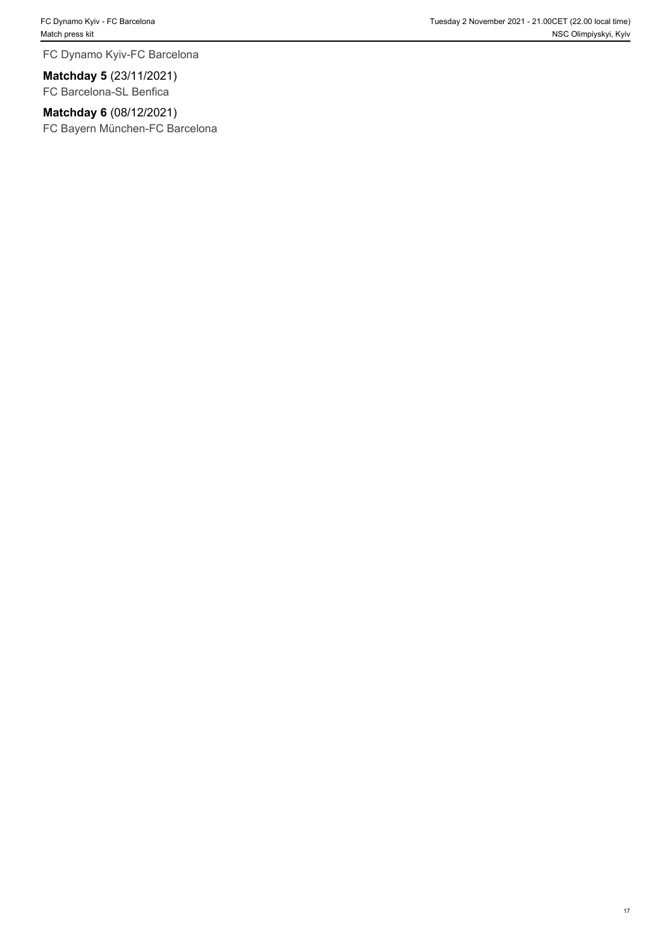FC Dynamo Kyiv-FC Barcelona

**Matchday 5** (23/11/2021) FC Barcelona-SL Benfica

**Matchday 6** (08/12/2021)

FC Bayern München-FC Barcelona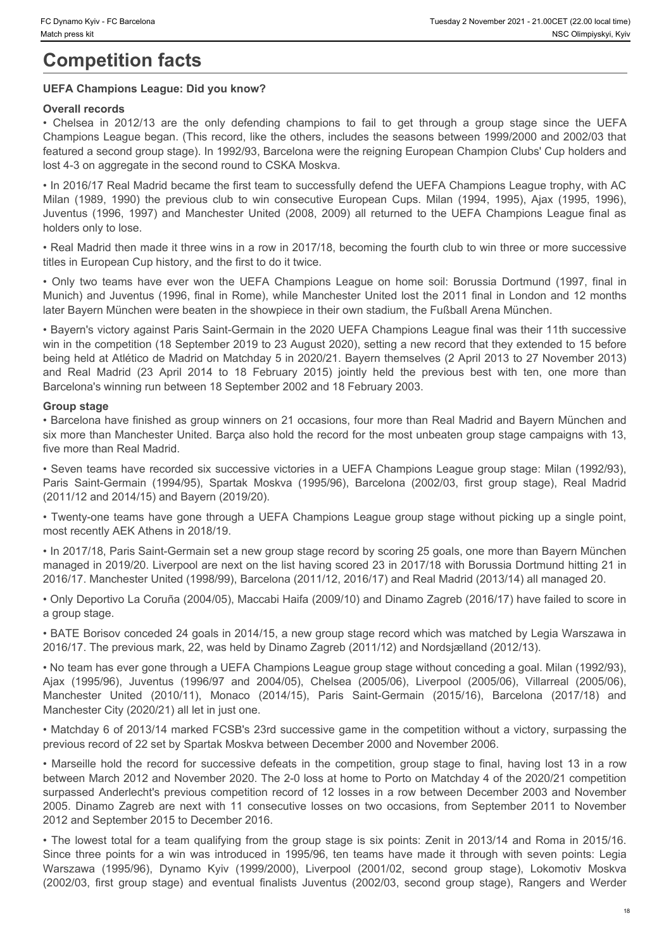# **Competition facts**

#### **UEFA Champions League: Did you know?**

#### **Overall records**

For Dynamo Kyiv - FC Barcelona<br>
• Tuesday 2 November 2021-21:00CET (22:00 local time)<br> **COMPOETII records**<br>
• Chelsea in 2012/13 are the only defending champions to fail to get through a group stage since the UEFA<br>
• Chels Champions League began. (This record, like the others, includes the seasons between 1999/2000 and 2002/03 that featured a second group stage). In 1992/93, Barcelona were the reigning European Champion Clubs' Cup holders and lost 4-3 on aggregate in the second round to CSKA Moskva. C Dynamo Kyiv - FC Barcelona<br>
Match press att<br>
MIC Compto Barcelona<br>
MIC Colesse in 2012/13 are the only defending champions to fail to get through a group stage since the UEFA<br>
Champions League began. (This record, like t Tuesday 2 November 2021 - 21,000ET (22,00 bostime)<br>
Juseday 2 November 2021 - 21,000ET (22,00 bostime)<br>
JNSC Ollimpistely, Kyv<br>
COMPORTAIT records<br>
Christels in 2012/13 are the only defending champions to fail to get throu

• In 2016/17 Real Madrid became the first team to successfully defend the UEFA Champions League trophy, with AC holders only to lose.

• Real Madrid then made it three wins in a row in 2017/18, becoming the fourth club to win three or more successive titles in European Cup history, and the first to do it twice.

Munich) and Juventus (1996, final in Rome), while Manchester United lost the 2011 final in London and 12 months later Bayern München were beaten in the showpiece in their own stadium, the Fußball Arena München.

• Commo Kivi-FC Straighter **Competition facts** The UNIX of the UEFA Champions of the UEFA Champions is the Division of Competition facts of Competition facts and the UEFA Champions League on Prediction Champions League beg • Bayern's victory against Paris Saint-Germain in the 2020 UEFA Champions League final was their 11th successive win in the competition (18 September 2019 to 23 August 2020), setting a new record that they extended to 15 before being held at Atlético de Madrid on Matchday 5 in 2020/21. Bayern themselves (2 April 2013 to 27 November 2013) Figures by the formula of the competition facts where the specific to the competition facts with provides the UEFA Champions League Botanical Madrid Competition facts with a more than a more than the previous best with Cha Barcelona's winning run between 18 September 2002 and 18 February 2003. Channuby-richaudes **Channel Channel Channel Channel Channel Channel Channel Channel Channel Channel Channel Channel Channel Channel Channel Channel Channel Channel Channel Channel Channel Channel Channel Channel Channel Ch** Channots League togeth (1996), The leasot, Juventus (1996-98), Juventus (1996-98), Juventus (1999-2000) and 2004/05) the comparison of the second properties and 2004/05), the method of the second product in the second prod **feature 1 active of 10** (10 (1002), Starsdom twent to require the resolution (2016), Monaco (2014), Monaco (2014), Monaco (2014), Monaco (2014), Monaco (2014), Monaco (2014), Monaco (2014), Monaco (2014), Monaco (2014), uberation the record for successive of the record for successive defeats in the record for successive choices in the record for successive choices in the record for successive choices in the record for successive defeats i We also the most phasical matter to the two occurs of the most with the consecutive losses on the two occasions of the most with the consecutive losses of the most with the most with the consecutive losses on the most with ties they may binoched with the a move points in the proceduced in the competent in the points for a win stoches the solution of the most many the relation of the most made in the competent in the competent of the solution Figures with the computer Taract Taract Taract Taract Computer Taract Computer Legach from the particular temperature in the 2020-201 US-T Computer Taracterise (2001/02, the most of Marchan content (2001/02, the most compu

#### **Group stage**

• Barcelona have finished as group winners on 21 occasions, four more than Real Madrid and Bayern München and six more than Manchester United. Barça also hold the record for the most unbeaten group stage campaigns with 13, five more than Real Madrid.

• Seven teams have recorded six successive victories in a UEFA Champions League group stage: Milan (1992/93), (2011/12 and 2014/15) and Bayern (2019/20).

• Twenty-one teams have gone through a UEFA Champions League group stage without picking up a single point, most recently AEK Athens in 2018/19.

• In 2017/18, Paris Saint-Germain set a new group stage record by scoring 25 goals, one more than Bayern München managed in 2019/20. Liverpool are next on the list having scored 23 in 2017/18 with Borussia Dortmund hitting 21 in 2016/17. Manchester United (1998/99), Barcelona (2011/12, 2016/17) and Real Madrid (2013/14) all managed 20.

• Only Deportivo La Coruña (2004/05), Maccabi Haifa (2009/10) and Dinamo Zagreb (2016/17) have failed to score in a group stage.

• BATE Borisov conceded 24 goals in 2014/15, a new group stage record which was matched by Legia Warszawa in 2016/17. The previous mark, 22, was held by Dinamo Zagreb (2011/12) and Nordsjælland (2012/13).

• No team has ever gone through a UEFA Champions League group stage without conceding a goal. Milan (1992/93), Manchester City (2020/21) all let in just one.

• Matchday 6 of 2013/14 marked FCSB's 23rd successive game in the competition without a victory, surpassing the previous record of 22 set by Spartak Moskva between December 2000 and November 2006.

between March 2012 and November 2020. The 2-0 loss at home to Porto on Matchday 4 of the 2020/21 competition surpassed Anderlecht's previous competition record of 12 losses in a row between December 2003 and November 2012 and September 2015 to December 2016. (2002/03) first group stage) and the stage members and the stage and and the stage in the second that they eneroded to at backet and the stage in the stage in the stage in the stage in the stage of the stage of the stage o

• The lowest total for a team qualifying from the group stage is six points: Zenit in 2013/14 and Roma in 2015/16.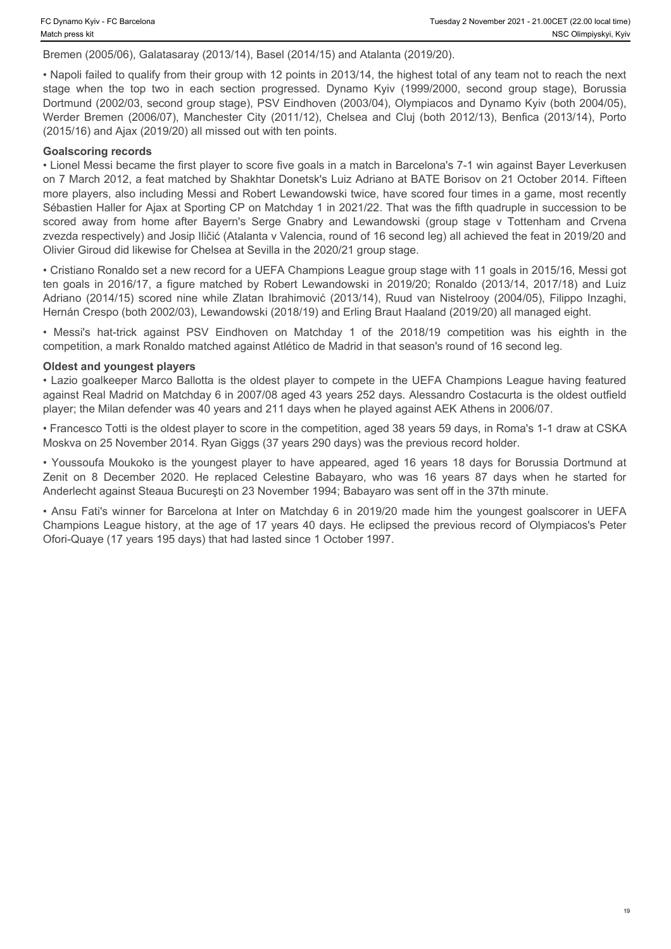#### Bremen (2005/06), Galatasaray (2013/14), Basel (2014/15) and Atalanta (2019/20).

• Napoli failed to qualify from their group with 12 points in 2013/14, the highest total of any team not to reach the next stage when the top top is altats are top the top the top the top the top the top two in each section progressed. Dynamo Kyiv (1999/2000, second group stage), Borussia<br>
Stage when the top two in each section progressed. Dyn Dortmund (2002/03, second group stage), PSV Eindhoven (2003/04), Olympiacos and Dynamo Kyiv (both 2004/05), (2015/16) and Ajax (2019/20) all missed out with ten points.

#### **Goalscoring records**

The Color (2005/06), Galatasaray (2013/14), Basel (2014/15) and Atalanta (2019/20).<br>
Werder press kit<br>
Signemen (2005/06), Galatasaray (2013/14), Basel (2014/15) and Atalanta (2019/20).<br>
• Napoli failed to qualify from the • Lionel Messi became the first player to score five goals in a match in Barcelona's 7-1 win against Bayer Leverkusen on 7 March 2012, a feat matched by Shakhtar Donetsk's Luiz Adriano at BATE Borisov on 21 October 2014. Fifteen more players, also including Messi and Robert Lewandowski twice, have scored four times in a game, most recently Sébastien Haller for Ajax at Sporting CP on Matchday 1 in 2021/22. That was the fifth quadruple in succession to be C Dynamo Kyiv - FC Barcabosa<br>
scored away 2 Newsmber 2021-21 00cET (22.0 boat lime)<br>
Hersen (2005/06), Galatasaray (2013/14), Basel (2014/15) and Atalanta (2019/20).<br>
Eremen (2006/06), Salatasaray (2013/14), Basel (2014/15 zvezda respectively) and Josip Iličić (Atalanta v Valencia, round of 16 second leg) all achieved the feat in 2019/20 and Olivier Giroud did likewise for Chelsea at Sevilla in the 2020/21 group stage. Towame Kwy-FC Berotons<br>
Beremen (2005/06), Galatasaray (2013/14), Basel (2014/15) and Atalanta (2019/20),<br>
Beremen (2005/06), Galatasaray (2013/14), Basel (2014/15) and Atalanta (2019/20),<br>
Repoli failed to qualify from th CG<sub>ryame</sub> Kiye-FC Bartiston<br>
Betemen (2005/06), Galatassaray (2013/14), Basel (2014/15) and Atalanta (2019/20),<br>
Betemen (2005/06), Galatassaray (2013/14), Basel (2014/15) and Atalanta (2019/20),<br>
Adviselement (2005/06), G • Chyame Kyiv + FC Mansters<br>
Hermen (2005-06), Galabasaray (2013/14), Basel (2014/15) and Abalanta (2019/20),<br>
Hermen (2005-06), Galabasaray (2013/14), Basel (2014/15) and Abalanta (2019/20),<br>
• Napoli failed to qualify fr Chonera (as - it Dateness is the youngest player as the youngest player and the youngest player and the younger and the younger and the younger and the younger and the younger and the younger and the younger and the younge Channon (2015/03). Galabsaray (2013/14), Basel (2014/15) and Alalanla (2019/20). He replaced the replaced Celestine Babayaro, Secondary (2019/14), Basel (2014/15) and Alalanla (2019/20). Geometric the replaced Celestine Ba

• Cristiano Ronaldo set a new record for a UEFA Champions League group stage with 11 goals in 2015/16, Messi got Hernán Crespo (both 2002/03), Lewandowski (2018/19) and Erling Braut Haaland (2019/20) all managed eight.

competition, a mark Ronaldo matched against Atlético de Madrid in that season's round of 16 second leg.

#### **Oldest and youngest players**

• Lazio goalkeeper Marco Ballotta is the oldest player to compete in the UEFA Champions League having featured against Real Madrid on Matchday 6 in 2007/08 aged 43 years 252 days. Alessandro Costacurta is the oldest outfield player; the Milan defender was 40 years and 211 days when he played against AEK Athens in 2006/07.

• Francesco Totti is the oldest player to score in the competition, aged 38 years 59 days, in Roma's 1-1 draw at CSKA Moskva on 25 November 2014. Ryan Giggs (37 years 290 days) was the previous record holder.

Anderlecht against Steaua Bucureşti on 23 November 1994; Babayaro was sent off in the 37th minute.

• Ansu Fati's winner for Barcelona at Inter on Matchday 6 in 2019/20 made him the youngest goalscorer in UEFA Champions League history, at the age of 17 years 40 days. He eclipsed the previous record of Olympiacos's Peter Ofori-Quaye (17 years 195 days) that had lasted since 1 October 1997.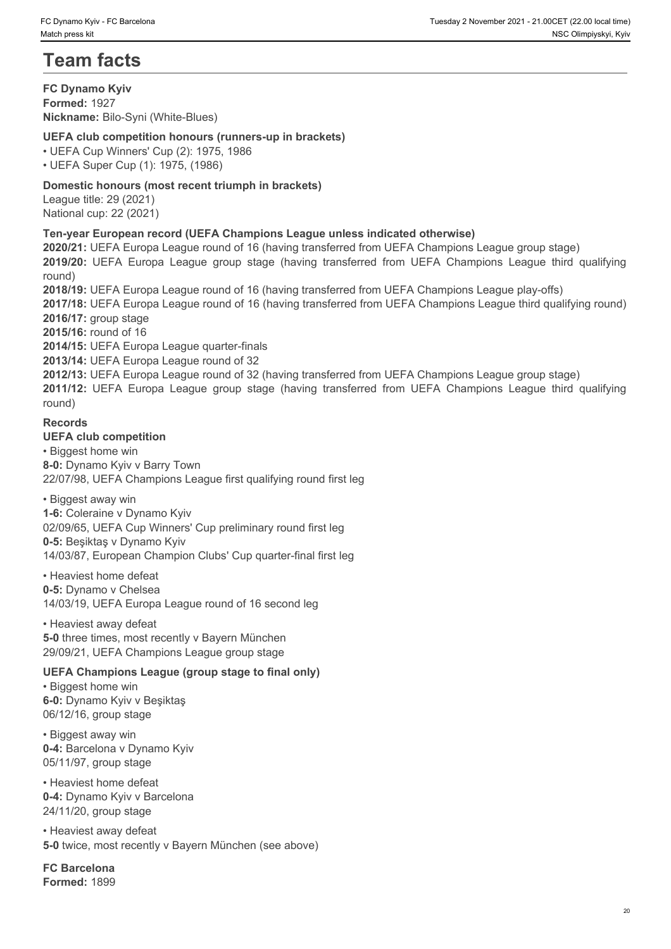# **Team facts**

**FC Dynamo Kyiv Formed:** 1927 **Nickname:** Bilo-Syni (White-Blues)

**UEFA club competition honours (runners-up in brackets)**

• UEFA Cup Winners' Cup (2): 1975, 1986

• UEFA Super Cup (1): 1975, (1986)

# **Domestic honours (most recent triumph in brackets)**

League title: 29 (2021) National cup: 22 (2021)

# **Ten-year European record (UEFA Champions League unless indicated otherwise)**

**2020/21:** UEFA Europa League round of 16 (having transferred from UEFA Champions League group stage) round)

<sup>20</sup> C Dyname Kyie - EC Barristies<br> **2019/2019:** Team **facts**<br> **2019/2019:** Team **facts**<br> **2019/2019:** Team **2019:** (Whilte-Blues)<br> **2019:** Porte A club competition honours (runners-up in brackets)<br>
2019/2019: UEFA Cup Win **2018/19:** UEFA Europa League round of 16 (having transferred from UEFA Champions League play-offs) **2017/18:** UEFA Europa League round of 16 (having transferred from UEFA Champions League third qualifying round) **2016/17:** group stage **2015/16:** round of 16 **2014/15:** UEFA Europa League quarter-finals 20 harms hive Pulsons and Marchines and The United States (1200)<br> **2012 2012 2022 2022 2022 2022 2022 2022 2022 2022 2022 2022 2022 2022 2022 2022 2022 2022 2022 2022 2022 2022 2** 

**2013/14:** UEFA Europa League round of 32

**2012/13:** UEFA Europa League round of 32 (having transferred from UEFA Champions League group stage) round)

#### **Records**

**UEFA club competition** 

• Biggest home win **8-0:** Dynamo Kyiv v Barry Town 22/07/98, UEFA Champions League first qualifying round first leg

• Biggest away win **1-6:** Coleraine v Dynamo Kyiv 02/09/65, UEFA Cup Winners' Cup preliminary round first leg **0-5:** Beşiktaş v Dynamo Kyiv 14/03/87, European Champion Clubs' Cup quarter-final first leg

• Heaviest home defeat **0-5:** Dynamo v Chelsea 14/03/19, UEFA Europa League round of 16 second leg

• Heaviest away defeat **5-0** three times, most recently v Bayern München 29/09/21, UEFA Champions League group stage

#### **UEFA Champions League (group stage to final only)**

• Biggest home win **6-0:** Dynamo Kyiv v Beşiktaş 06/12/16, group stage

• Biggest away win **0-4:** Barcelona v Dynamo Kyiv 05/11/97, group stage

• Heaviest home defeat **0-4:** Dynamo Kyiv v Barcelona 24/11/20, group stage

• Heaviest away defeat **5-0** twice, most recently v Bayern München (see above)

**FC Barcelona Formed:** 1899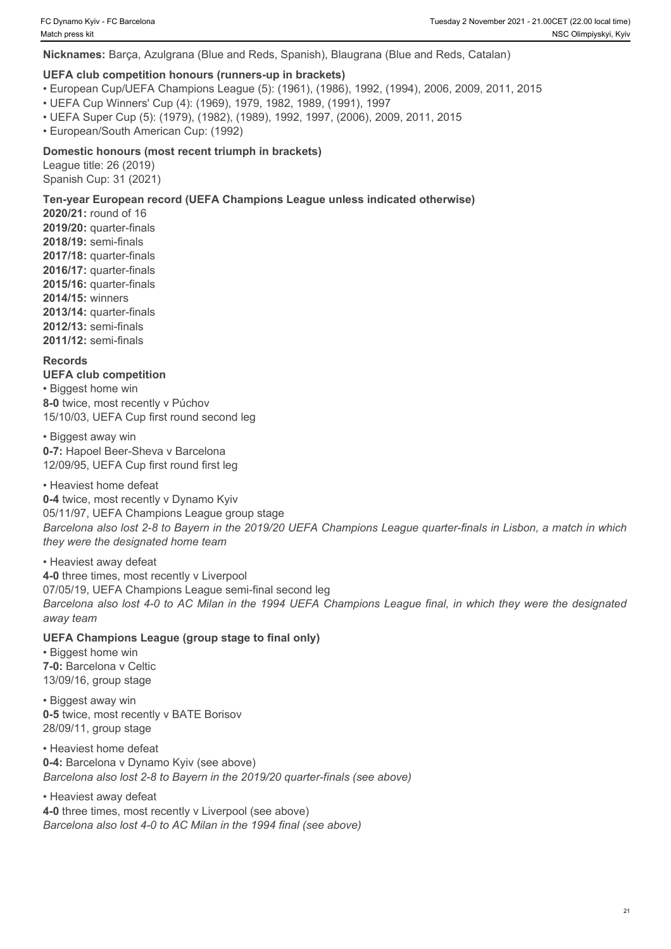**Nicknames:** Barça, Azulgrana (Blue and Reds, Spanish), Blaugrana (Blue and Reds, Catalan)

#### **UEFA club competition honours (runners-up in brackets)**

- European Cup/UEFA Champions League (5): (1961), (1986), 1992, (1994), 2006, 2009, 2011, 2015
- UEFA Cup Winners' Cup (4): (1969), 1979, 1982, 1989, (1991), 1997
- UEFA Super Cup (5): (1979), (1982), (1989), 1992, 1997, (2006), 2009, 2011, 2015
- European/South American Cup: (1992)

#### **Domestic honours (most recent triumph in brackets)**

League title: 26 (2019) Spanish Cup: 31 (2021)

#### **Ten-year European record (UEFA Champions League unless indicated otherwise)**

**2020/21:** round of 16 **2019/20:** quarter-finals **2018/19:** semi-finals **2017/18:** quarter-finals **2016/17:** quarter-finals **2015/16:** quarter-finals **2014/15:** winners **2013/14:** quarter-finals **2012/13:** semi-finals **2011/12:** semi-finals

#### **Records**

**UEFA club competition** • Biggest home win **8-0** twice, most recently v Púchov 15/10/03, UEFA Cup first round second leg

• Biggest away win **0-7:** Hapoel Beer-Sheva v Barcelona 12/09/95, UEFA Cup first round first leg

#### • Heaviest home defeat

**0-4** twice, most recently v Dynamo Kyiv 05/11/97, UEFA Champions League group stage *Barcelona also lost 2-8 to Bayern in the 2019/20 UEFA Champions League quarter-finals in Lisbon, a match in which they were the designated home team*

• Heaviest away defeat **4-0** three times, most recently v Liverpool 07/05/19, UEFA Champions League semi-final second leg *Barcelona also lost 4-0 to AC Milan in the 1994 UEFA Champions League final, in which they were the designated away team*

#### **UEFA Champions League (group stage to final only)**

• Biggest home win **7-0:** Barcelona v Celtic 13/09/16, group stage

• Biggest away win **0-5** twice, most recently v BATE Borisov 28/09/11, group stage

• Heaviest home defeat **0-4:** Barcelona v Dynamo Kyiv (see above) *Barcelona also lost 2-8 to Bayern in the 2019/20 quarter-finals (see above)*

• Heaviest away defeat **4-0** three times, most recently v Liverpool (see above) *Barcelona also lost 4-0 to AC Milan in the 1994 final (see above)*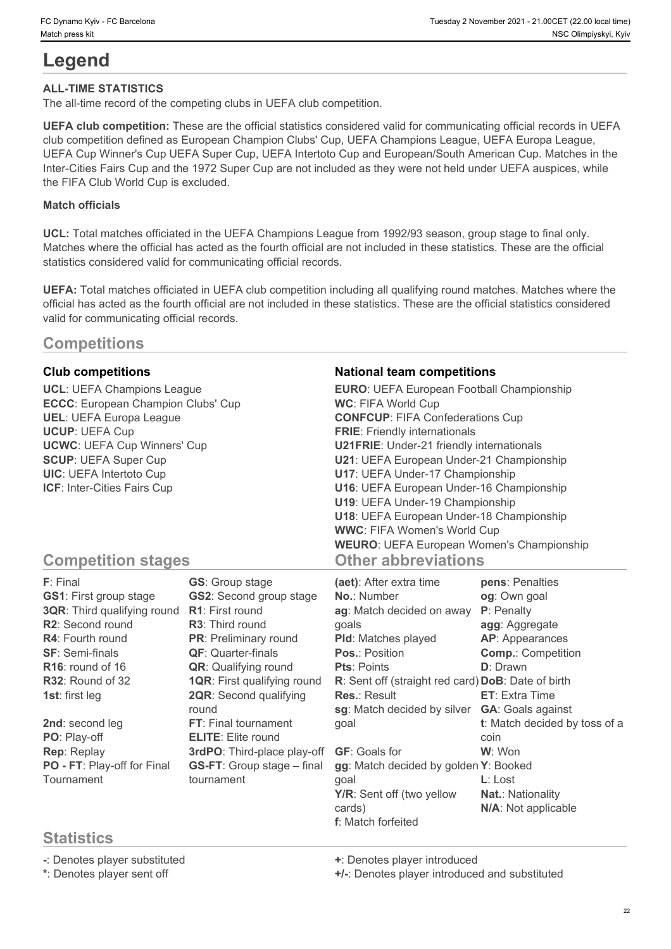# **Legend**

#### **ALL-TIME STATISTICS**

The all-time record of the competing clubs in UEFA club competition.

**UEFA club competition:** These are the official statistics considered valid for communicating official records in UEFA club competition defined as European Champion Clubs' Cup, UEFA Champions League, UEFA Europa League, UEFA Cup Winner's Cup UEFA Super Cup, UEFA Intertoto Cup and European/South American Cup. Matches in the Inter-Cities Fairs Cup and the 1972 Super Cup are not included as they were not held under UEFA auspices, while the FIFA Club World Cup is excluded.

#### **Match officials**

**UCL:** Total matches officiated in the UEFA Champions League from 1992/93 season, group stage to final only. Matches where the official has acted as the fourth official are not included in these statistics. These are the official statistics considered valid for communicating official records.

**UEFA:** Total matches officiated in UEFA club competition including all qualifying round matches. Matches where the official has acted as the fourth official are not included in these statistics. These are the official statistics considered valid for communicating official records.

# **Competitions**

# **Statistics**

**-**: Denotes player substituted **+**: Denotes player introduced

**\***: Denotes player sent off **+/-**: Denotes player introduced and substituted